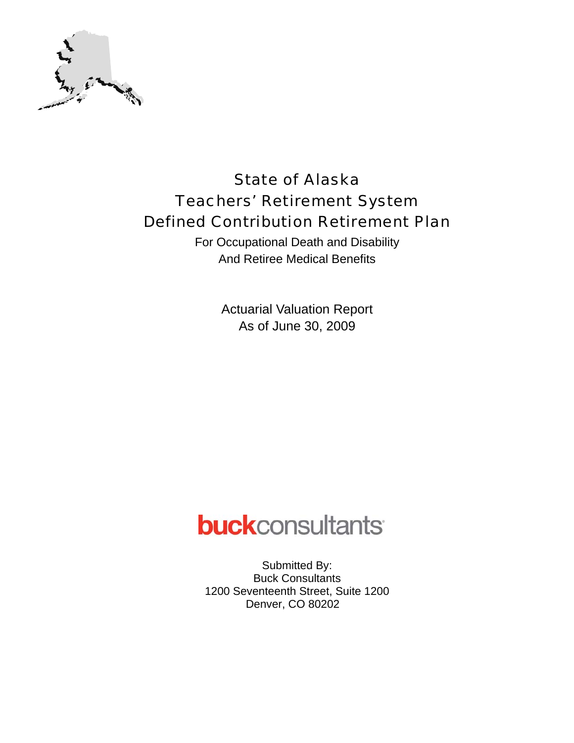

## State of Alaska Teachers' Retirement System Defined Contribution Retirement Plan

For Occupational Death and Disability And Retiree Medical Benefits

> Actuarial Valuation Report As of June 30, 2009

## **buck**consultants

Submitted By: Buck Consultants 1200 Seventeenth Street, Suite 1200 Denver, CO 80202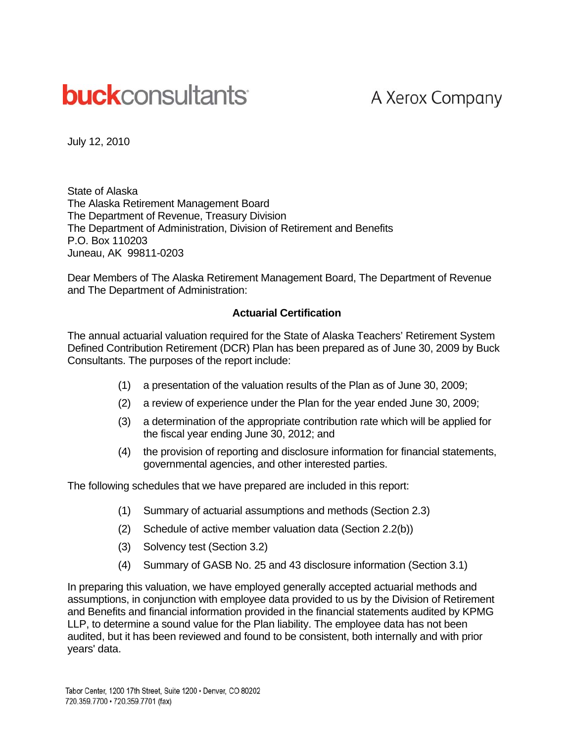# **buck**consultants

A Xerox Company

July 12, 2010

State of Alaska The Alaska Retirement Management Board The Department of Revenue, Treasury Division The Department of Administration, Division of Retirement and Benefits P.O. Box 110203 Juneau, AK 99811-0203

Dear Members of The Alaska Retirement Management Board, The Department of Revenue and The Department of Administration:

#### **Actuarial Certification**

The annual actuarial valuation required for the State of Alaska Teachers' Retirement System Defined Contribution Retirement (DCR) Plan has been prepared as of June 30, 2009 by Buck Consultants. The purposes of the report include:

- (1) a presentation of the valuation results of the Plan as of June 30, 2009;
- (2) a review of experience under the Plan for the year ended June 30, 2009;
- (3) a determination of the appropriate contribution rate which will be applied for the fiscal year ending June 30, 2012; and
- (4) the provision of reporting and disclosure information for financial statements, governmental agencies, and other interested parties.

The following schedules that we have prepared are included in this report:

- (1) Summary of actuarial assumptions and methods (Section 2.3)
- (2) Schedule of active member valuation data (Section 2.2(b))
- (3) Solvency test (Section 3.2)
- (4) Summary of GASB No. 25 and 43 disclosure information (Section 3.1)

In preparing this valuation, we have employed generally accepted actuarial methods and assumptions, in conjunction with employee data provided to us by the Division of Retirement and Benefits and financial information provided in the financial statements audited by KPMG LLP, to determine a sound value for the Plan liability. The employee data has not been audited, but it has been reviewed and found to be consistent, both internally and with prior years' data.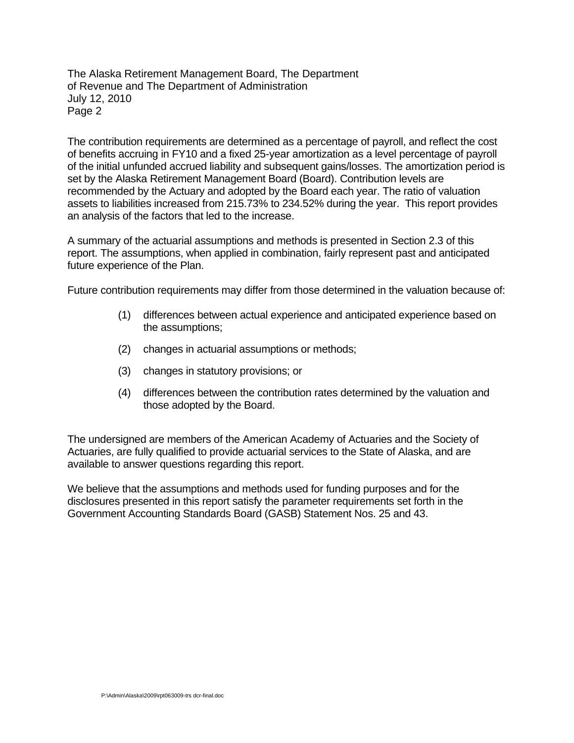The Alaska Retirement Management Board, The Department of Revenue and The Department of Administration July 12, 2010 Page 2

The contribution requirements are determined as a percentage of payroll, and reflect the cost of benefits accruing in FY10 and a fixed 25-year amortization as a level percentage of payroll of the initial unfunded accrued liability and subsequent gains/losses. The amortization period is set by the Alaska Retirement Management Board (Board). Contribution levels are recommended by the Actuary and adopted by the Board each year. The ratio of valuation assets to liabilities increased from 215.73% to 234.52% during the year. This report provides an analysis of the factors that led to the increase.

A summary of the actuarial assumptions and methods is presented in Section 2.3 of this report. The assumptions, when applied in combination, fairly represent past and anticipated future experience of the Plan.

Future contribution requirements may differ from those determined in the valuation because of:

- (1) differences between actual experience and anticipated experience based on the assumptions;
- (2) changes in actuarial assumptions or methods;
- (3) changes in statutory provisions; or
- (4) differences between the contribution rates determined by the valuation and those adopted by the Board.

The undersigned are members of the American Academy of Actuaries and the Society of Actuaries, are fully qualified to provide actuarial services to the State of Alaska, and are available to answer questions regarding this report.

We believe that the assumptions and methods used for funding purposes and for the disclosures presented in this report satisfy the parameter requirements set forth in the Government Accounting Standards Board (GASB) Statement Nos. 25 and 43.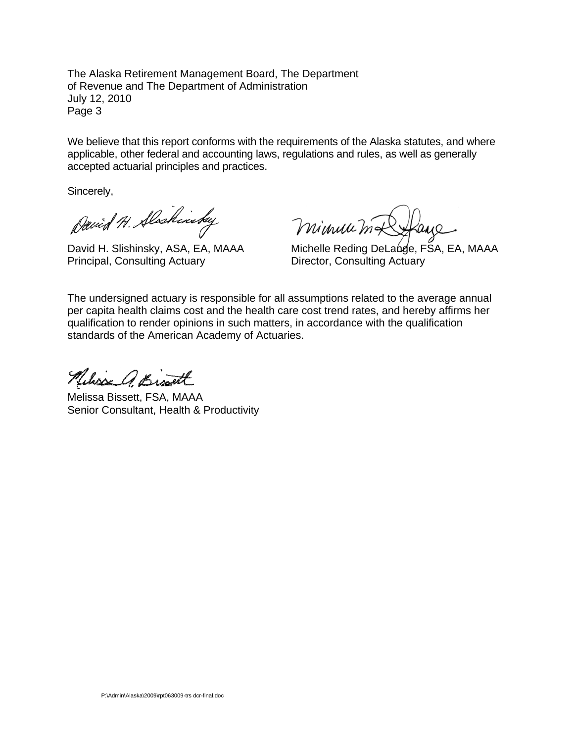The Alaska Retirement Management Board, The Department of Revenue and The Department of Administration July 12, 2010 Page 3

We believe that this report conforms with the requirements of the Alaska statutes, and where applicable, other federal and accounting laws, regulations and rules, as well as generally accepted actuarial principles and practices.

Sincerely,

David H. Alschinsky

Principal, Consulting Actuary **Director, Consulting Actuary** 

Minum make

David H. Slishinsky, ASA, EA, MAAA Michelle Reding DeLange, FSA, EA, MAAA

The undersigned actuary is responsible for all assumptions related to the average annual per capita health claims cost and the health care cost trend rates, and hereby affirms her qualification to render opinions in such matters, in accordance with the qualification standards of the American Academy of Actuaries.

Neliss A. Bist

Melissa Bissett, FSA, MAAA Senior Consultant, Health & Productivity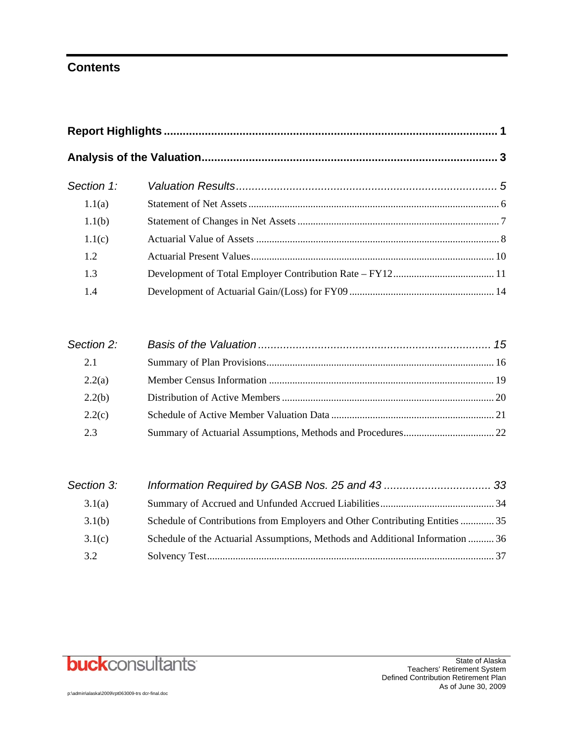## **Contents**

| Section 1: |  |  |  |  |  |  |  |  |
|------------|--|--|--|--|--|--|--|--|
| 1.1(a)     |  |  |  |  |  |  |  |  |
| 1.1(b)     |  |  |  |  |  |  |  |  |
| 1.1(c)     |  |  |  |  |  |  |  |  |
| 1.2        |  |  |  |  |  |  |  |  |
| 1.3        |  |  |  |  |  |  |  |  |
| 1.4        |  |  |  |  |  |  |  |  |

| Section 2: |  |
|------------|--|
| 2.1        |  |
| 2.2(a)     |  |
| 2.2(b)     |  |
| 2.2(c)     |  |
| 2.3        |  |

| Section 3:    |                                                                              |  |
|---------------|------------------------------------------------------------------------------|--|
| 3.1(a)        |                                                                              |  |
| 3.1(b)        | Schedule of Contributions from Employers and Other Contributing Entities  35 |  |
| 3.1(c)        | Schedule of the Actuarial Assumptions, Methods and Additional Information 36 |  |
| $3.2^{\circ}$ |                                                                              |  |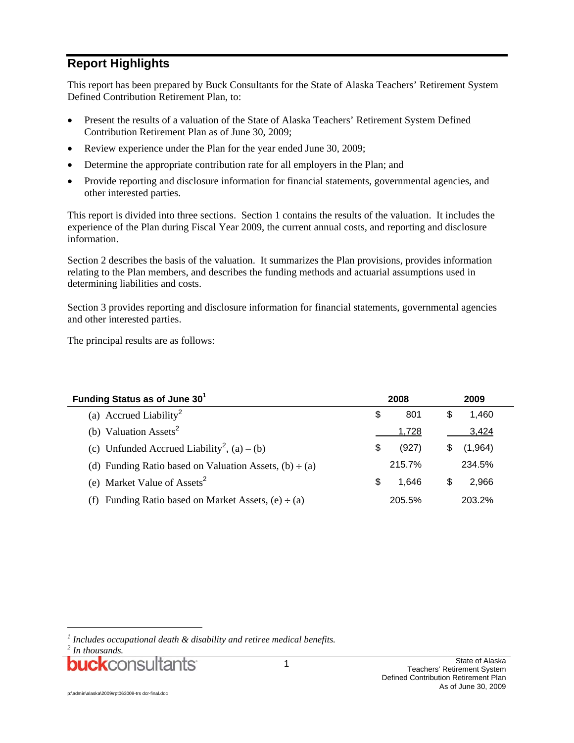## **Report Highlights**

This report has been prepared by Buck Consultants for the State of Alaska Teachers' Retirement System Defined Contribution Retirement Plan, to:

- Present the results of a valuation of the State of Alaska Teachers' Retirement System Defined Contribution Retirement Plan as of June 30, 2009;
- Review experience under the Plan for the year ended June 30, 2009;
- Determine the appropriate contribution rate for all employers in the Plan; and
- Provide reporting and disclosure information for financial statements, governmental agencies, and other interested parties.

This report is divided into three sections. Section 1 contains the results of the valuation. It includes the experience of the Plan during Fiscal Year 2009, the current annual costs, and reporting and disclosure information.

Section 2 describes the basis of the valuation. It summarizes the Plan provisions, provides information relating to the Plan members, and describes the funding methods and actuarial assumptions used in determining liabilities and costs.

Section 3 provides reporting and disclosure information for financial statements, governmental agencies and other interested parties.

The principal results are as follows:

| Funding Status as of June 30 <sup>1</sup>                   |    | 2008   |    | 2009    |  |
|-------------------------------------------------------------|----|--------|----|---------|--|
| (a) Accrued Liability <sup>2</sup>                          | \$ | 801    | \$ | 1,460   |  |
| (b) Valuation Assets <sup>2</sup>                           |    | 1,728  |    | 3,424   |  |
| (c) Unfunded Accrued Liability <sup>2</sup> , (a) – (b)     | \$ | (927)  | æ. | (1,964) |  |
| (d) Funding Ratio based on Valuation Assets, $(b) \div (a)$ |    | 215.7% |    | 234.5%  |  |
| (e) Market Value of Assets <sup>2</sup>                     | S  | 1.646  | S  | 2.966   |  |
| (f) Funding Ratio based on Market Assets, $(e) \div (a)$    |    | 205.5% |    | 203.2%  |  |

l

<sup>&</sup>lt;sup>1</sup> Includes occupational death & disability and retiree medical benefits.

*<sup>2</sup> In thousands.*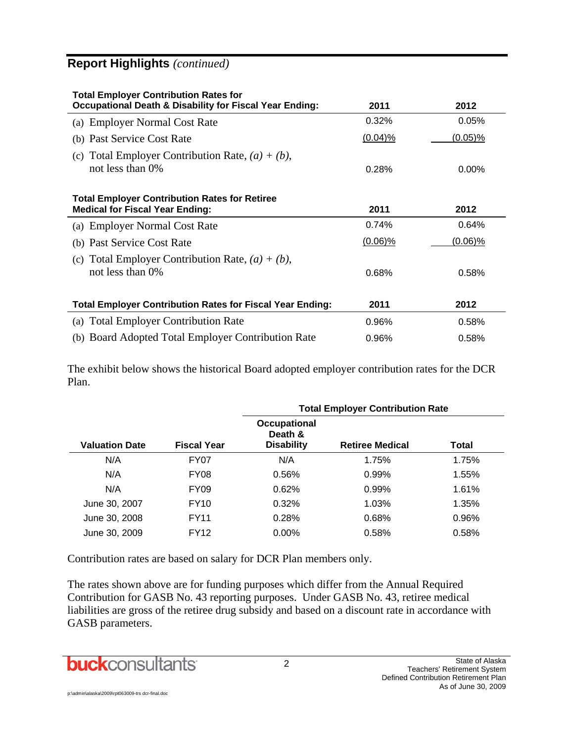## **Report Highlights** *(continued)*

| <b>Total Employer Contribution Rates for</b><br><b>Occupational Death &amp; Disability for Fiscal Year Ending:</b> | 2011       | 2012       |  |  |  |  |  |  |
|--------------------------------------------------------------------------------------------------------------------|------------|------------|--|--|--|--|--|--|
| (a) Employer Normal Cost Rate                                                                                      | 0.32%      | 0.05%      |  |  |  |  |  |  |
| (b) Past Service Cost Rate                                                                                         | $(0.04)$ % | $(0.05)\%$ |  |  |  |  |  |  |
| Total Employer Contribution Rate, $(a) + (b)$ ,<br>(c)<br>not less than 0\%                                        | 0.28%      | $0.00\%$   |  |  |  |  |  |  |
| <b>Total Employer Contribution Rates for Retiree</b><br><b>Medical for Fiscal Year Ending:</b><br>2011<br>2012     |            |            |  |  |  |  |  |  |
| (a) Employer Normal Cost Rate                                                                                      | 0.74%      | 0.64%      |  |  |  |  |  |  |
| (b) Past Service Cost Rate                                                                                         | $(0.06)\%$ | $(0.06)\%$ |  |  |  |  |  |  |
| (c) Total Employer Contribution Rate, $(a) + (b)$ ,<br>not less than 0\%                                           | 0.68%      | 0.58%      |  |  |  |  |  |  |
| <b>Total Employer Contribution Rates for Fiscal Year Ending:</b>                                                   | 2011       | 2012       |  |  |  |  |  |  |
| <b>Total Employer Contribution Rate</b><br>(a)                                                                     | 0.96%      | 0.58%      |  |  |  |  |  |  |
| (b) Board Adopted Total Employer Contribution Rate                                                                 | 0.96%      | 0.58%      |  |  |  |  |  |  |

The exhibit below shows the historical Board adopted employer contribution rates for the DCR Plan.

|                       |                    | <b>Total Employer Contribution Rate</b>      |                        |       |  |  |  |
|-----------------------|--------------------|----------------------------------------------|------------------------|-------|--|--|--|
| <b>Valuation Date</b> | <b>Fiscal Year</b> | Occupational<br>Death &<br><b>Disability</b> | <b>Retiree Medical</b> | Total |  |  |  |
| N/A                   | FY07               | N/A                                          | 1.75%                  | 1.75% |  |  |  |
| N/A                   | FY08               | 0.56%                                        | 0.99%                  | 1.55% |  |  |  |
| N/A                   | <b>FY09</b>        | 0.62%                                        | 0.99%                  | 1.61% |  |  |  |
| June 30, 2007         | <b>FY10</b>        | $0.32\%$                                     | 1.03%                  | 1.35% |  |  |  |
| June 30, 2008         | <b>FY11</b>        | 0.28%                                        | 0.68%                  | 0.96% |  |  |  |
| June 30, 2009         | <b>FY12</b>        | $0.00\%$                                     | 0.58%                  | 0.58% |  |  |  |

Contribution rates are based on salary for DCR Plan members only.

The rates shown above are for funding purposes which differ from the Annual Required Contribution for GASB No. 43 reporting purposes. Under GASB No. 43, retiree medical liabilities are gross of the retiree drug subsidy and based on a discount rate in accordance with GASB parameters.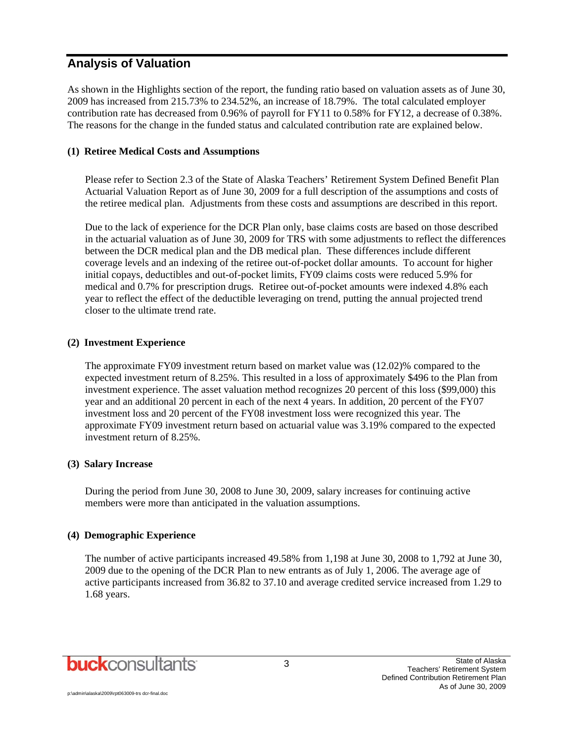### **Analysis of Valuation**

As shown in the Highlights section of the report, the funding ratio based on valuation assets as of June 30, 2009 has increased from 215.73% to 234.52%, an increase of 18.79%. The total calculated employer contribution rate has decreased from 0.96% of payroll for FY11 to 0.58% for FY12, a decrease of 0.38%. The reasons for the change in the funded status and calculated contribution rate are explained below.

#### **(1) Retiree Medical Costs and Assumptions**

Please refer to Section 2.3 of the State of Alaska Teachers' Retirement System Defined Benefit Plan Actuarial Valuation Report as of June 30, 2009 for a full description of the assumptions and costs of the retiree medical plan. Adjustments from these costs and assumptions are described in this report.

Due to the lack of experience for the DCR Plan only, base claims costs are based on those described in the actuarial valuation as of June 30, 2009 for TRS with some adjustments to reflect the differences between the DCR medical plan and the DB medical plan. These differences include different coverage levels and an indexing of the retiree out-of-pocket dollar amounts. To account for higher initial copays, deductibles and out-of-pocket limits, FY09 claims costs were reduced 5.9% for medical and 0.7% for prescription drugs. Retiree out-of-pocket amounts were indexed 4.8% each year to reflect the effect of the deductible leveraging on trend, putting the annual projected trend closer to the ultimate trend rate.

#### **(2) Investment Experience**

The approximate FY09 investment return based on market value was (12.02)% compared to the expected investment return of 8.25%. This resulted in a loss of approximately \$496 to the Plan from investment experience. The asset valuation method recognizes 20 percent of this loss (\$99,000) this year and an additional 20 percent in each of the next 4 years. In addition, 20 percent of the FY07 investment loss and 20 percent of the FY08 investment loss were recognized this year. The approximate FY09 investment return based on actuarial value was 3.19% compared to the expected investment return of 8.25%.

#### **(3) Salary Increase**

During the period from June 30, 2008 to June 30, 2009, salary increases for continuing active members were more than anticipated in the valuation assumptions.

#### **(4) Demographic Experience**

The number of active participants increased 49.58% from 1,198 at June 30, 2008 to 1,792 at June 30, 2009 due to the opening of the DCR Plan to new entrants as of July 1, 2006. The average age of active participants increased from 36.82 to 37.10 and average credited service increased from 1.29 to 1.68 years.

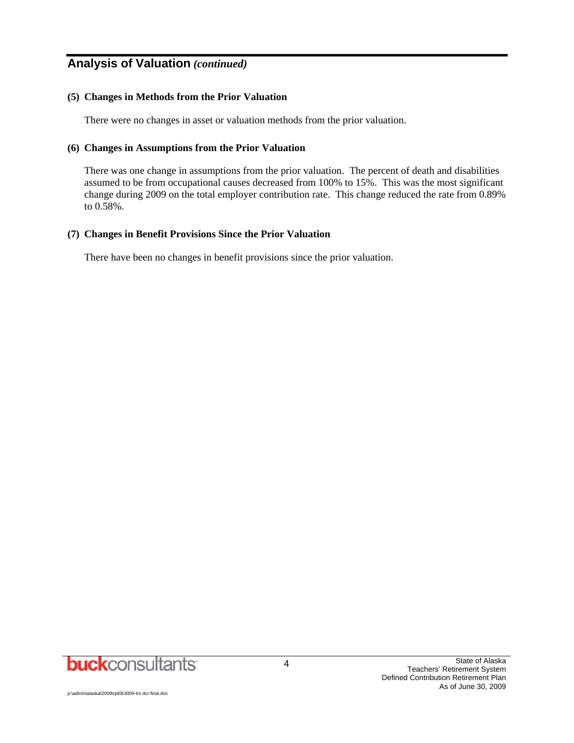## **Analysis of Valuation** *(continued)*

#### **(5) Changes in Methods from the Prior Valuation**

There were no changes in asset or valuation methods from the prior valuation.

#### **(6) Changes in Assumptions from the Prior Valuation**

There was one change in assumptions from the prior valuation. The percent of death and disabilities assumed to be from occupational causes decreased from 100% to 15%. This was the most significant change during 2009 on the total employer contribution rate. This change reduced the rate from 0.89% to 0.58%.

#### **(7) Changes in Benefit Provisions Since the Prior Valuation**

There have been no changes in benefit provisions since the prior valuation.

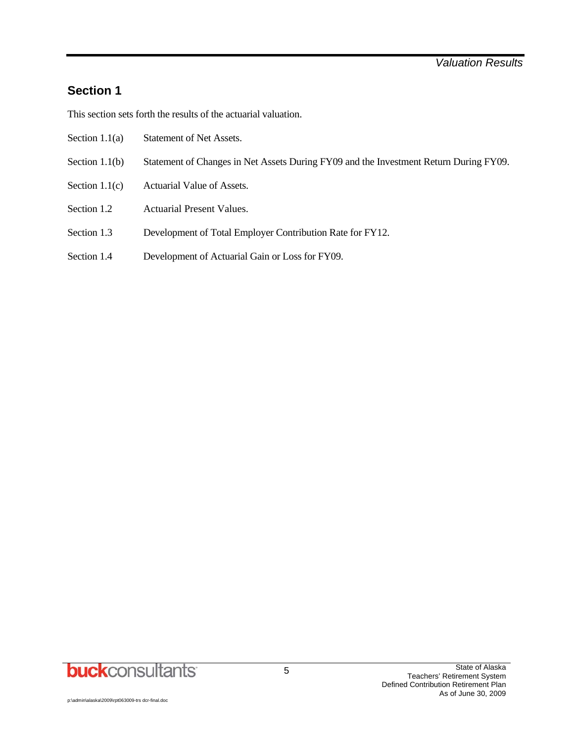## **Section 1**

This section sets forth the results of the actuarial valuation.

- Section 1.1(a) Statement of Net Assets.
- Section 1.1(b) Statement of Changes in Net Assets During FY09 and the Investment Return During FY09.
- Section 1.1(c) Actuarial Value of Assets.
- Section 1.2 Actuarial Present Values.
- Section 1.3 Development of Total Employer Contribution Rate for FY12.
- Section 1.4 Development of Actuarial Gain or Loss for FY09.

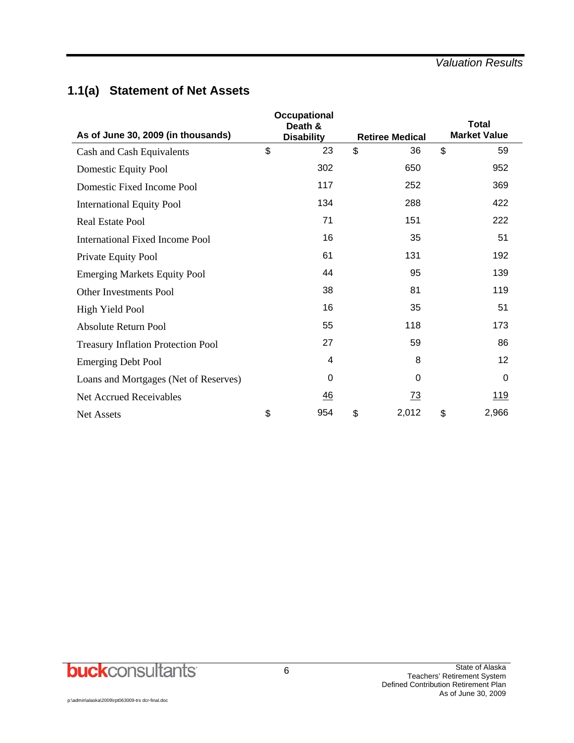## **1.1(a) Statement of Net Assets**

|                                           |    | Occupational<br>Death & |                        |    | <b>Total</b><br><b>Market Value</b> |
|-------------------------------------------|----|-------------------------|------------------------|----|-------------------------------------|
| As of June 30, 2009 (in thousands)        |    | <b>Disability</b>       | <b>Retiree Medical</b> |    |                                     |
| Cash and Cash Equivalents                 | \$ | 23                      | \$<br>36               | \$ | 59                                  |
| Domestic Equity Pool                      |    | 302                     | 650                    |    | 952                                 |
| Domestic Fixed Income Pool                |    | 117                     | 252                    |    | 369                                 |
| <b>International Equity Pool</b>          |    | 134                     | 288                    |    | 422                                 |
| <b>Real Estate Pool</b>                   |    | 71                      | 151                    |    | 222                                 |
| <b>International Fixed Income Pool</b>    |    | 16                      | 35                     |    | 51                                  |
| Private Equity Pool                       |    | 61                      | 131                    |    | 192                                 |
| <b>Emerging Markets Equity Pool</b>       |    | 44                      | 95                     |    | 139                                 |
| <b>Other Investments Pool</b>             |    | 38                      | 81                     |    | 119                                 |
| High Yield Pool                           |    | 16                      | 35                     |    | 51                                  |
| <b>Absolute Return Pool</b>               |    | 55                      | 118                    |    | 173                                 |
| <b>Treasury Inflation Protection Pool</b> |    | 27                      | 59                     |    | 86                                  |
| <b>Emerging Debt Pool</b>                 |    | 4                       | 8                      |    | 12                                  |
| Loans and Mortgages (Net of Reserves)     |    | $\Omega$                | $\Omega$               |    | $\mathbf{0}$                        |
| Net Accrued Receivables                   |    | $\overline{46}$         | <u>73</u>              |    | <u> 119</u>                         |
| <b>Net Assets</b>                         | \$ | 954                     | \$<br>2,012            | \$ | 2,966                               |

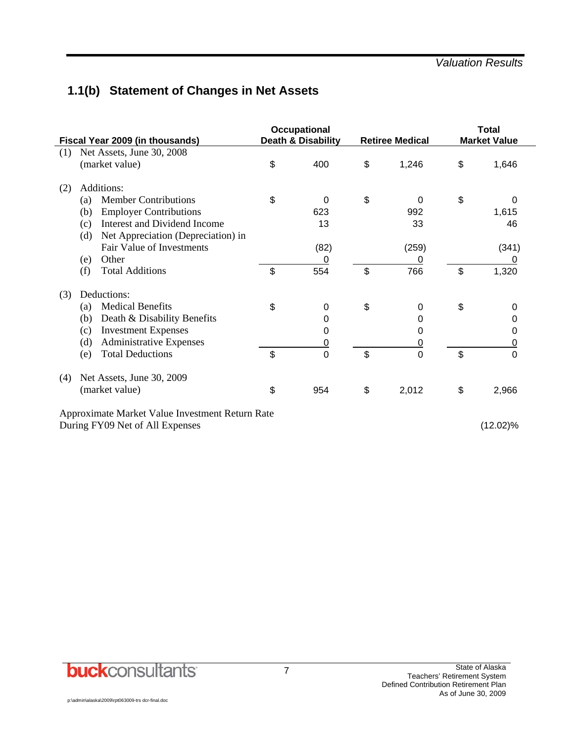## **1.1(b) Statement of Changes in Net Assets**

| Fiscal Year 2009 (in thousands)                 | Occupational<br><b>Death &amp; Disability</b><br><b>Retiree Medical</b> |    |       | <b>Total</b><br><b>Market Value</b> |                |  |
|-------------------------------------------------|-------------------------------------------------------------------------|----|-------|-------------------------------------|----------------|--|
| Net Assets, June 30, 2008<br>(1)                |                                                                         |    |       |                                     |                |  |
| (market value)                                  | \$<br>400                                                               | \$ | 1,246 | \$                                  | 1,646          |  |
| Additions:<br>(2)                               |                                                                         |    |       |                                     |                |  |
| <b>Member Contributions</b><br>(a)              | \$<br>0                                                                 | \$ | 0     | \$                                  | $\Omega$       |  |
| <b>Employer Contributions</b><br>(b)            | 623                                                                     |    | 992   |                                     | 1,615          |  |
| Interest and Dividend Income<br>(c)             | 13                                                                      |    | 33    |                                     | 46             |  |
| Net Appreciation (Depreciation) in<br>(d)       |                                                                         |    |       |                                     |                |  |
| Fair Value of Investments                       | (82)                                                                    |    | (259) |                                     | (341)          |  |
| Other<br>(e)                                    | <u>0</u>                                                                |    | 0     |                                     |                |  |
| <b>Total Additions</b><br>(f)                   | \$<br>554                                                               | \$ | 766   | \$                                  | 1,320          |  |
| Deductions:<br>(3)                              |                                                                         |    |       |                                     |                |  |
| <b>Medical Benefits</b><br>(a)                  | \$<br>$\mathbf 0$                                                       | \$ | 0     | \$                                  | 0              |  |
| Death & Disability Benefits<br>(b)              | 0                                                                       |    | 0     |                                     | 0              |  |
| <b>Investment Expenses</b><br>(c)               | 0                                                                       |    | 0     |                                     | 0              |  |
| (d)<br><b>Administrative Expenses</b>           | <u>0</u>                                                                |    | 0     |                                     | $\overline{0}$ |  |
| <b>Total Deductions</b><br>(e)                  | \$<br>$\overline{0}$                                                    | \$ | 0     | \$                                  | $\overline{0}$ |  |
| Net Assets, June 30, 2009<br>(4)                |                                                                         |    |       |                                     |                |  |
| (market value)                                  | \$<br>954                                                               | \$ | 2,012 | \$                                  | 2,966          |  |
| Approximate Market Value Investment Return Rate |                                                                         |    |       |                                     |                |  |
| During FY09 Net of All Expenses                 |                                                                         |    |       |                                     | $(12.02)\%$    |  |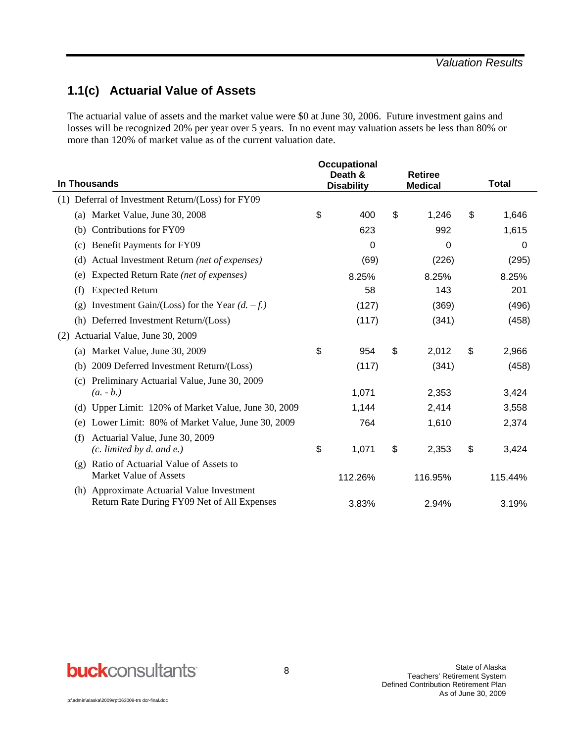## **1.1(c) Actuarial Value of Assets**

The actuarial value of assets and the market value were \$0 at June 30, 2006. Future investment gains and losses will be recognized 20% per year over 5 years. In no event may valuation assets be less than 80% or more than 120% of market value as of the current valuation date.

|                                                                                              | Occupational<br>Death & |                | <b>Retiree</b> |              |         |
|----------------------------------------------------------------------------------------------|-------------------------|----------------|----------------|--------------|---------|
| <b>In Thousands</b>                                                                          | <b>Disability</b>       | <b>Medical</b> |                | <b>Total</b> |         |
| Deferral of Investment Return/(Loss) for FY09<br>(1)                                         |                         |                |                |              |         |
| (a) Market Value, June 30, 2008                                                              | \$<br>400               | \$             | 1,246          | \$           | 1,646   |
| Contributions for FY09<br>(b)                                                                | 623                     |                | 992            |              | 1,615   |
| Benefit Payments for FY09<br>(c)                                                             | 0                       |                | $\Omega$       |              | 0       |
| Actual Investment Return (net of expenses)<br>(d)                                            | (69)                    |                | (226)          |              | (295)   |
| Expected Return Rate (net of expenses)<br>(e)                                                | 8.25%                   |                | 8.25%          |              | 8.25%   |
| <b>Expected Return</b><br>(f)                                                                | 58                      |                | 143            |              | 201     |
| Investment Gain/(Loss) for the Year $(d. -f.)$<br>(g)                                        | (127)                   |                | (369)          |              | (496)   |
| (h) Deferred Investment Return/(Loss)                                                        | (117)                   |                | (341)          |              | (458)   |
| Actuarial Value, June 30, 2009<br>(2)                                                        |                         |                |                |              |         |
| (a) Market Value, June 30, 2009                                                              | \$<br>954               | \$             | 2,012          | \$           | 2,966   |
| 2009 Deferred Investment Return/(Loss)<br>(b)                                                | (117)                   |                | (341)          |              | (458)   |
| Preliminary Actuarial Value, June 30, 2009<br>(c)                                            |                         |                |                |              |         |
| $(a. - b.)$                                                                                  | 1,071                   |                | 2,353          |              | 3,424   |
| Upper Limit: 120% of Market Value, June 30, 2009<br>(d)                                      | 1,144                   |                | 2,414          |              | 3,558   |
| Lower Limit: 80% of Market Value, June 30, 2009<br>(e)                                       | 764                     |                | 1,610          |              | 2,374   |
| Actuarial Value, June 30, 2009<br>(f)<br>$(c.$ limited by d. and e.)                         | \$<br>1,071             | \$             | 2,353          | \$           | 3,424   |
| Ratio of Actuarial Value of Assets to<br>$\left( \varrho \right)$<br>Market Value of Assets  | 112.26%                 |                | 116.95%        |              | 115.44% |
| Approximate Actuarial Value Investment<br>(h)<br>Return Rate During FY09 Net of All Expenses | 3.83%                   |                | 2.94%          |              | 3.19%   |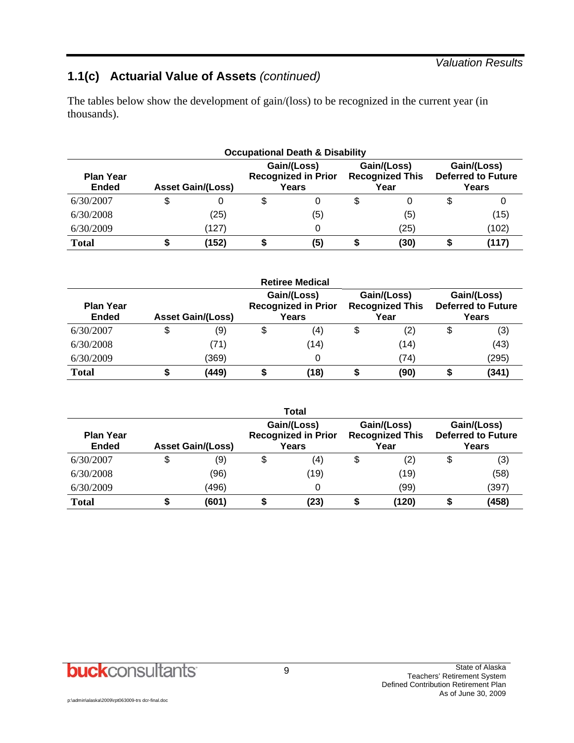#### *Valuation Results*

## **1.1(c) Actuarial Value of Assets** *(continued)*

The tables below show the development of gain/(loss) to be recognized in the current year (in thousands).

| <b>Occupational Death &amp; Disability</b> |                          |       |                                                    |     |                                               |      |                                                   |       |  |  |
|--------------------------------------------|--------------------------|-------|----------------------------------------------------|-----|-----------------------------------------------|------|---------------------------------------------------|-------|--|--|
| <b>Plan Year</b><br><b>Ended</b>           | <b>Asset Gain/(Loss)</b> |       | Gain/(Loss)<br><b>Recognized in Prior</b><br>Years |     | Gain/(Loss)<br><b>Recognized This</b><br>Year |      | Gain/(Loss)<br><b>Deferred to Future</b><br>Years |       |  |  |
| 6/30/2007                                  | \$                       |       | \$                                                 |     |                                               |      |                                                   | 0     |  |  |
| 6/30/2008                                  |                          | (25)  |                                                    | (5) |                                               | (5)  |                                                   | (15)  |  |  |
| 6/30/2009                                  |                          | (127) |                                                    |     |                                               | (25) |                                                   | (102) |  |  |
| <b>Total</b>                               |                          | (152) |                                                    | (5) |                                               | (30) |                                                   | (117) |  |  |

| <b>Retiree Medical</b>           |    |                          |    |                                                    |    |                                               |    |                                                   |  |  |  |
|----------------------------------|----|--------------------------|----|----------------------------------------------------|----|-----------------------------------------------|----|---------------------------------------------------|--|--|--|
| <b>Plan Year</b><br><b>Ended</b> |    | <b>Asset Gain/(Loss)</b> |    | Gain/(Loss)<br><b>Recognized in Prior</b><br>Years |    | Gain/(Loss)<br><b>Recognized This</b><br>Year |    | Gain/(Loss)<br><b>Deferred to Future</b><br>Years |  |  |  |
| 6/30/2007                        | \$ | (9)                      | \$ | (4)                                                | \$ | (2)                                           | \$ | (3)                                               |  |  |  |
| 6/30/2008                        |    | (71)                     |    | (14)                                               |    | (14)                                          |    | (43)                                              |  |  |  |
| 6/30/2009                        |    | (369)                    |    |                                                    |    | (74)                                          |    | (295)                                             |  |  |  |
| <b>Total</b>                     |    | (449)                    |    | (18)                                               |    | (90)                                          |    | (341)                                             |  |  |  |

| <b>Total</b>                     |                          |       |                                                    |      |                                               |       |                                                   |       |  |  |  |
|----------------------------------|--------------------------|-------|----------------------------------------------------|------|-----------------------------------------------|-------|---------------------------------------------------|-------|--|--|--|
| <b>Plan Year</b><br><b>Ended</b> | <b>Asset Gain/(Loss)</b> |       | Gain/(Loss)<br><b>Recognized in Prior</b><br>Years |      | Gain/(Loss)<br><b>Recognized This</b><br>Year |       | Gain/(Loss)<br><b>Deferred to Future</b><br>Years |       |  |  |  |
| 6/30/2007                        | \$                       | (9)   | \$                                                 | (4)  | \$                                            | (2)   |                                                   | (3)   |  |  |  |
| 6/30/2008                        |                          | (96)  |                                                    | (19) |                                               | (19)  |                                                   | (58)  |  |  |  |
| 6/30/2009                        |                          | (496) |                                                    |      |                                               | (99)  |                                                   | (397) |  |  |  |
| <b>Total</b>                     |                          | (601) |                                                    | (23) |                                               | (120) |                                                   | (458) |  |  |  |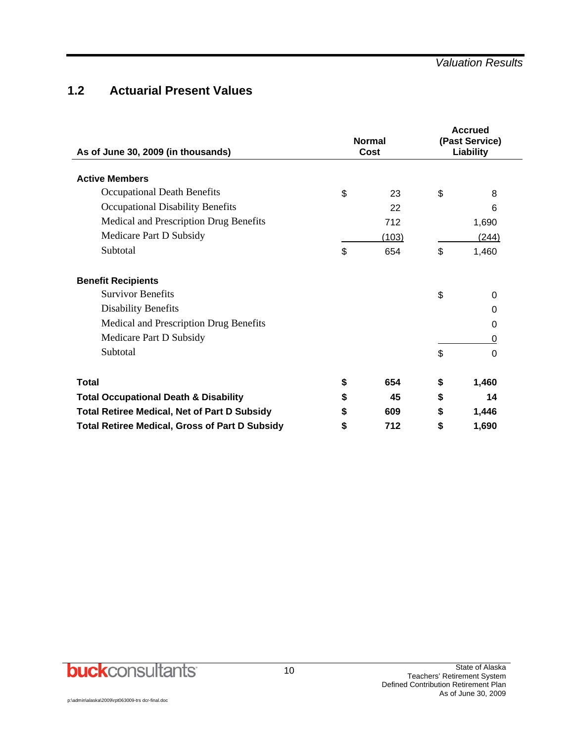## **1.2 Actuarial Present Values**

| As of June 30, 2009 (in thousands)                    |    | <b>Normal</b><br>Cost | <b>Accrued</b><br>(Past Service)<br>Liability |
|-------------------------------------------------------|----|-----------------------|-----------------------------------------------|
| <b>Active Members</b>                                 |    |                       |                                               |
| Occupational Death Benefits                           | \$ | 23                    | \$<br>8                                       |
| <b>Occupational Disability Benefits</b>               |    | 22                    | 6                                             |
| Medical and Prescription Drug Benefits                |    | 712                   | 1,690                                         |
| Medicare Part D Subsidy                               |    | (103)                 | (244)                                         |
| Subtotal                                              | \$ | 654                   | \$<br>1,460                                   |
| <b>Benefit Recipients</b>                             |    |                       |                                               |
| <b>Survivor Benefits</b>                              |    |                       | \$<br>0                                       |
| <b>Disability Benefits</b>                            |    |                       | 0                                             |
| Medical and Prescription Drug Benefits                |    |                       | 0                                             |
| Medicare Part D Subsidy                               |    |                       | 0                                             |
| Subtotal                                              |    |                       | \$<br>0                                       |
| <b>Total</b>                                          | \$ | 654                   | \$<br>1,460                                   |
| <b>Total Occupational Death &amp; Disability</b>      | \$ | 45                    | \$<br>14                                      |
| <b>Total Retiree Medical, Net of Part D Subsidy</b>   | S  | 609                   | \$<br>1,446                                   |
| <b>Total Retiree Medical, Gross of Part D Subsidy</b> | \$ | 712                   | \$<br>1,690                                   |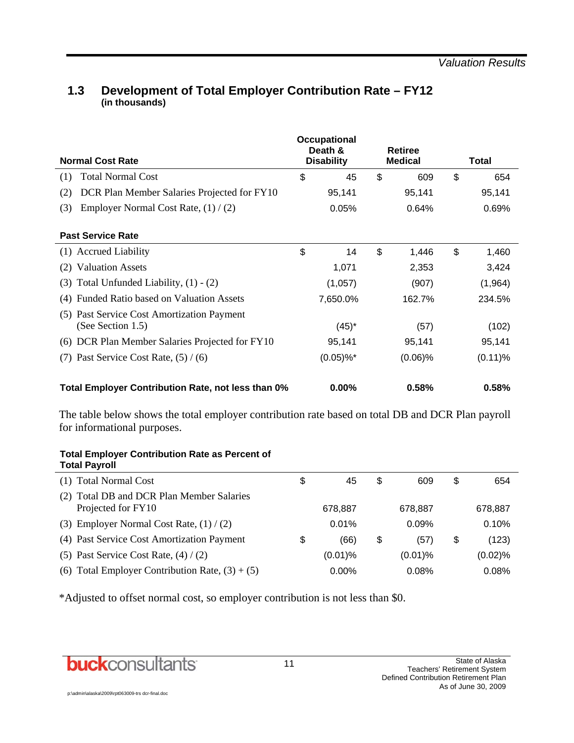## **1.3 Development of Total Employer Contribution Rate – FY12 (in thousands)**

| <b>Normal Cost Rate</b>                                         | <b>Occupational</b><br>Death &<br><b>Disability</b> | <b>Retiree</b><br><b>Medical</b> | <b>Total</b> |            |  |
|-----------------------------------------------------------------|-----------------------------------------------------|----------------------------------|--------------|------------|--|
| <b>Total Normal Cost</b><br>(1)                                 | \$<br>45                                            | \$<br>609                        | \$           | 654        |  |
| DCR Plan Member Salaries Projected for FY10<br>(2)              | 95,141                                              | 95,141                           |              | 95,141     |  |
| Employer Normal Cost Rate, $(1) / (2)$<br>(3)                   | 0.05%                                               | 0.64%                            |              | 0.69%      |  |
| <b>Past Service Rate</b>                                        |                                                     |                                  |              |            |  |
| (1) Accrued Liability                                           | \$<br>14                                            | \$<br>1,446                      | \$           | 1,460      |  |
| <b>Valuation Assets</b><br>(2)                                  | 1,071                                               | 2,353                            |              | 3,424      |  |
| Total Unfunded Liability, $(1) - (2)$<br>(3)                    | (1,057)                                             | (907)                            |              | (1,964)    |  |
| Funded Ratio based on Valuation Assets<br>(4)                   | 7,650.0%                                            | 162.7%                           |              | 234.5%     |  |
| (5) Past Service Cost Amortization Payment<br>(See Section 1.5) | $(45)^*$                                            | (57)                             |              | (102)      |  |
| (6) DCR Plan Member Salaries Projected for FY10                 | 95,141                                              | 95,141                           |              | 95,141     |  |
| (7) Past Service Cost Rate, $(5) / (6)$                         | $(0.05)\%$ <sup>*</sup>                             | $(0.06)\%$                       |              | $(0.11)\%$ |  |
| Total Employer Contribution Rate, not less than 0%              | 0.00%                                               | 0.58%                            |              | 0.58%      |  |

The table below shows the total employer contribution rate based on total DB and DCR Plan payroll for informational purposes.

#### **Total Employer Contribution Rate as Percent of Total Payroll**

|     | (1) Total Normal Cost                                       | S | 45         | \$<br>609  | \$ | 654        |
|-----|-------------------------------------------------------------|---|------------|------------|----|------------|
| (2) | Total DB and DCR Plan Member Salaries<br>Projected for FY10 |   | 678,887    | 678.887    |    | 678,887    |
|     | (3) Employer Normal Cost Rate, $(1) / (2)$                  |   | 0.01%      | 0.09%      |    | 0.10%      |
|     | (4) Past Service Cost Amortization Payment                  | S | (66)       | \$<br>(57) | S  | (123)      |
|     | (5) Past Service Cost Rate, $(4) / (2)$                     |   | $(0.01)\%$ | $(0.01)\%$ |    | $(0.02)$ % |
|     | (6) Total Employer Contribution Rate, $(3) + (5)$           |   | $0.00\%$   | 0.08%      |    | 0.08%      |

\*Adjusted to offset normal cost, so employer contribution is not less than \$0.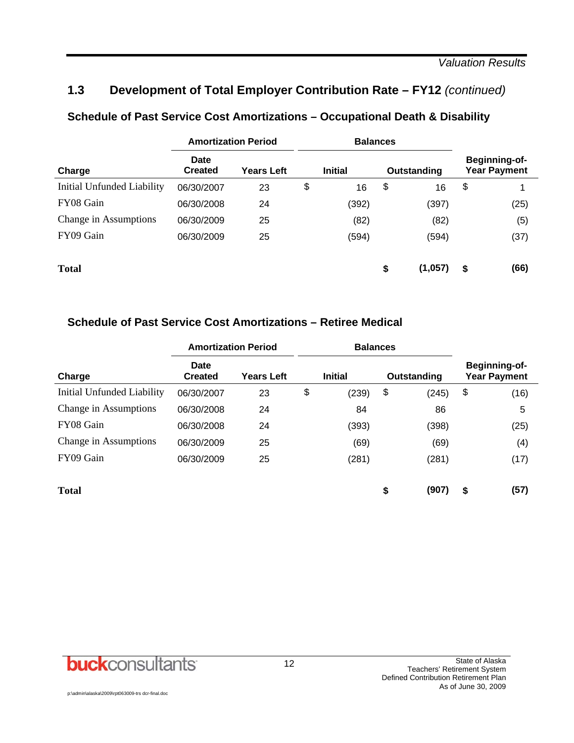## **1.3 Development of Total Employer Contribution Rate – FY12** *(continued)*

|                            | <b>Amortization Period</b>           |    |                | <b>Balances</b> |    |             |    |                                             |  |
|----------------------------|--------------------------------------|----|----------------|-----------------|----|-------------|----|---------------------------------------------|--|
| Charge                     | Date<br><b>Created</b><br>Years Left |    | <b>Initial</b> |                 |    | Outstanding |    | <b>Beginning-of-</b><br><b>Year Payment</b> |  |
| Initial Unfunded Liability | 06/30/2007                           | 23 | \$             | 16              | \$ | 16          | \$ |                                             |  |
| FY08 Gain                  | 06/30/2008                           | 24 |                | (392)           |    | (397)       |    | (25)                                        |  |
| Change in Assumptions      | 06/30/2009                           | 25 |                | (82)            |    | (82)        |    | (5)                                         |  |
| FY09 Gain                  | 06/30/2009                           | 25 |                | (594)           |    | (594)       |    | (37)                                        |  |
| <b>Total</b>               |                                      |    |                |                 | \$ | (1,057)     | S  | (66)                                        |  |

## **Schedule of Past Service Cost Amortizations – Retiree Medical**

|                            | <b>Amortization Period</b> |                   | <b>Balances</b>               |       |    |       |                                      |      |  |
|----------------------------|----------------------------|-------------------|-------------------------------|-------|----|-------|--------------------------------------|------|--|
| Charge                     | Date<br><b>Created</b>     | <b>Years Left</b> | <b>Initial</b><br>Outstanding |       |    |       | Beginning-of-<br><b>Year Payment</b> |      |  |
| Initial Unfunded Liability | 06/30/2007                 | 23                | \$                            | (239) | \$ | (245) | \$                                   | (16) |  |
| Change in Assumptions      | 06/30/2008                 | 24                |                               | 84    |    | 86    |                                      | 5    |  |
| FY08 Gain                  | 06/30/2008                 | 24                |                               | (393) |    | (398) |                                      | (25) |  |
| Change in Assumptions      | 06/30/2009                 | 25                |                               | (69)  |    | (69)  |                                      | (4)  |  |
| FY09 Gain                  | 06/30/2009                 | 25                |                               | (281) |    | (281) |                                      | (17) |  |
|                            |                            |                   |                               |       |    |       |                                      |      |  |
| <b>Total</b>               |                            |                   |                               |       | \$ | (907) | \$                                   | (57) |  |

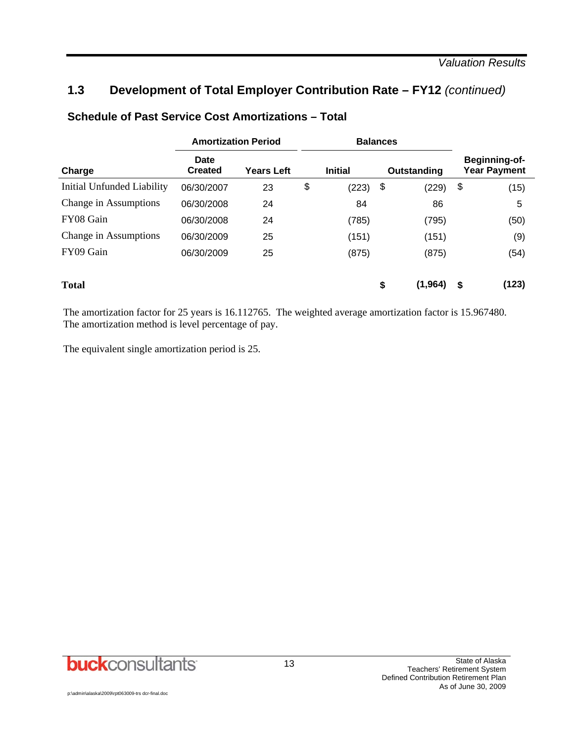## **1.3 Development of Total Employer Contribution Rate – FY12** *(continued)*

|                            | <b>Amortization Period</b> |                   |    | <b>Balances</b> |    |             |                                      |
|----------------------------|----------------------------|-------------------|----|-----------------|----|-------------|--------------------------------------|
| Charge                     | Date<br><b>Created</b>     | <b>Years Left</b> |    | <b>Initial</b>  |    | Outstanding | Beginning-of-<br><b>Year Payment</b> |
| Initial Unfunded Liability | 06/30/2007                 | 23                | \$ | (223)           | \$ | (229)       | \$<br>(15)                           |
| Change in Assumptions      | 06/30/2008                 | 24                |    | 84              |    | 86          | 5                                    |
| FY08 Gain                  | 06/30/2008                 | 24                |    | (785)           |    | (795)       | (50)                                 |
| Change in Assumptions      | 06/30/2009                 | 25                |    | (151)           |    | (151)       | (9)                                  |
| FY09 Gain                  | 06/30/2009                 | 25                |    | (875)           |    | (875)       | (54)                                 |
| <b>Total</b>               |                            |                   |    |                 | \$ | (1, 964)    | \$<br>(123)                          |

### **Schedule of Past Service Cost Amortizations – Total**

The amortization factor for 25 years is 16.112765. The weighted average amortization factor is 15.967480. The amortization method is level percentage of pay.

The equivalent single amortization period is 25.

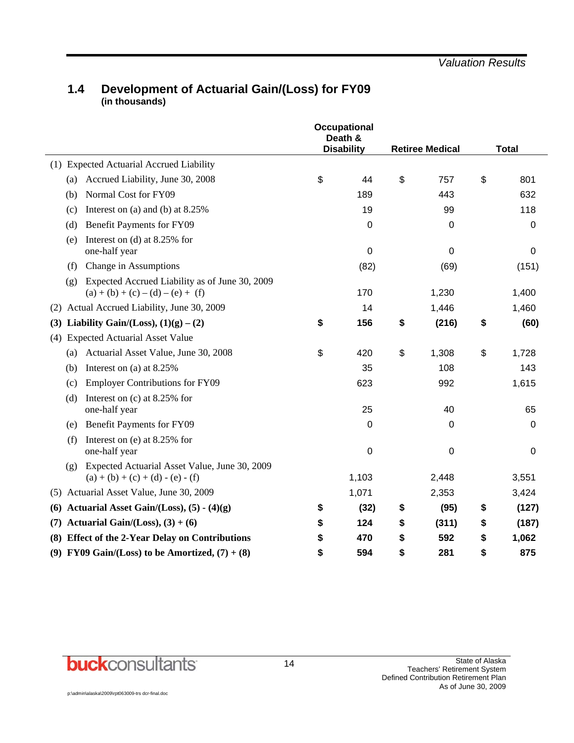#### **1.4 Development of Actuarial Gain/(Loss) for FY09 (in thousands)**

|     |                                                                                             | Occupational<br>Death &<br><b>Disability</b><br><b>Retiree Medical</b> |             | <b>Total</b>   |    |       |
|-----|---------------------------------------------------------------------------------------------|------------------------------------------------------------------------|-------------|----------------|----|-------|
|     | (1) Expected Actuarial Accrued Liability                                                    |                                                                        |             |                |    |       |
|     | Accrued Liability, June 30, 2008<br>(a)                                                     | \$                                                                     | 44          | \$<br>757      | \$ | 801   |
|     | Normal Cost for FY09<br>(b)                                                                 |                                                                        | 189         | 443            |    | 632   |
|     | Interest on (a) and (b) at $8.25\%$<br>(c)                                                  |                                                                        | 19          | 99             |    | 118   |
|     | <b>Benefit Payments for FY09</b><br>(d)                                                     |                                                                        | 0           | 0              |    | 0     |
|     | Interest on (d) at $8.25\%$ for                                                             |                                                                        |             |                |    |       |
|     | (e)<br>one-half year                                                                        |                                                                        | 0           | 0              |    | 0     |
|     | Change in Assumptions<br>(f)                                                                |                                                                        | (82)        | (69)           |    | (151) |
|     | Expected Accrued Liability as of June 30, 2009<br>(g)                                       |                                                                        |             |                |    |       |
|     | $(a) + (b) + (c) - (d) - (e) + (f)$                                                         |                                                                        | 170         | 1,230          |    | 1,400 |
| (2) | Actual Accrued Liability, June 30, 2009                                                     |                                                                        | 14          | 1,446<br>1,460 |    |       |
| (3) | Liability Gain/(Loss), $(1)(g) - (2)$                                                       | \$                                                                     | 156         | \$<br>(216)    | \$ | (60)  |
| (4) | <b>Expected Actuarial Asset Value</b>                                                       |                                                                        |             |                |    |       |
|     | (a) Actuarial Asset Value, June 30, 2008                                                    | \$                                                                     | 420         | \$<br>1,308    | \$ | 1,728 |
|     | Interest on (a) at 8.25%<br>(b)                                                             |                                                                        | 35          | 108            |    | 143   |
|     | <b>Employer Contributions for FY09</b><br>(c)                                               |                                                                        | 623         | 992            |    | 1,615 |
|     | Interest on $(c)$ at 8.25% for<br>(d)                                                       |                                                                        |             |                |    |       |
|     | one-half year                                                                               |                                                                        | 25          | 40             |    | 65    |
|     | <b>Benefit Payments for FY09</b><br>(e)                                                     |                                                                        | 0           | 0              |    | 0     |
|     | Interest on (e) at 8.25% for<br>(f)                                                         |                                                                        |             |                |    |       |
|     | one-half year                                                                               |                                                                        | $\mathbf 0$ | 0              |    | 0     |
|     | Expected Actuarial Asset Value, June 30, 2009<br>(g)<br>$(a) + (b) + (c) + (d) - (e) - (f)$ |                                                                        | 1,103       | 2,448          |    | 3,551 |
|     | (5) Actuarial Asset Value, June 30, 2009                                                    |                                                                        | 1,071       | 2,353          |    | 3,424 |
| (6) | Actuarial Asset Gain/(Loss), $(5) - (4)(g)$                                                 | \$                                                                     | (32)        | \$<br>(95)     | \$ | (127) |
|     | Actuarial Gain/(Loss), $(3) + (6)$                                                          | \$                                                                     | 124         | \$<br>(311)    | \$ | (187) |
| (7) | (8) Effect of the 2-Year Delay on Contributions                                             | \$                                                                     | 470         | \$<br>592      | \$ | 1,062 |
|     |                                                                                             |                                                                        |             |                |    |       |
|     | (9) FY09 Gain/(Loss) to be Amortized, $(7) + (8)$                                           | \$                                                                     | 594         | \$<br>281      | \$ | 875   |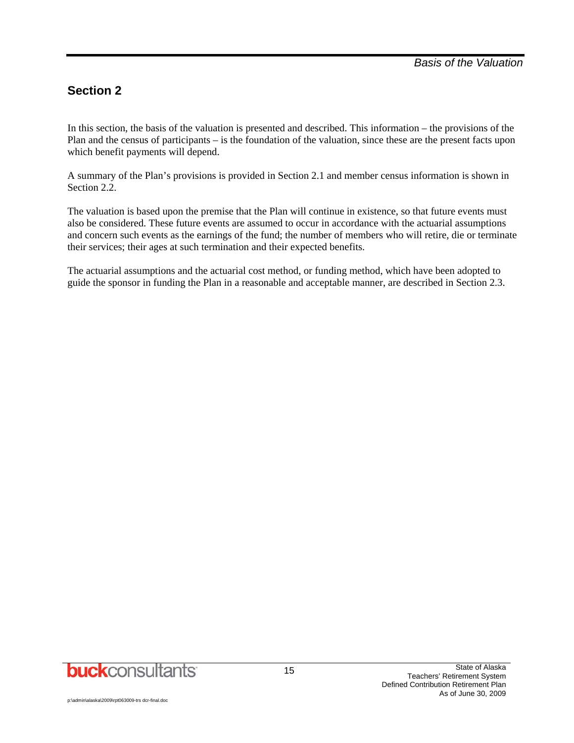## **Section 2**

In this section, the basis of the valuation is presented and described. This information – the provisions of the Plan and the census of participants – is the foundation of the valuation, since these are the present facts upon which benefit payments will depend.

A summary of the Plan's provisions is provided in Section 2.1 and member census information is shown in Section 2.2.

The valuation is based upon the premise that the Plan will continue in existence, so that future events must also be considered. These future events are assumed to occur in accordance with the actuarial assumptions and concern such events as the earnings of the fund; the number of members who will retire, die or terminate their services; their ages at such termination and their expected benefits.

The actuarial assumptions and the actuarial cost method, or funding method, which have been adopted to guide the sponsor in funding the Plan in a reasonable and acceptable manner, are described in Section 2.3.

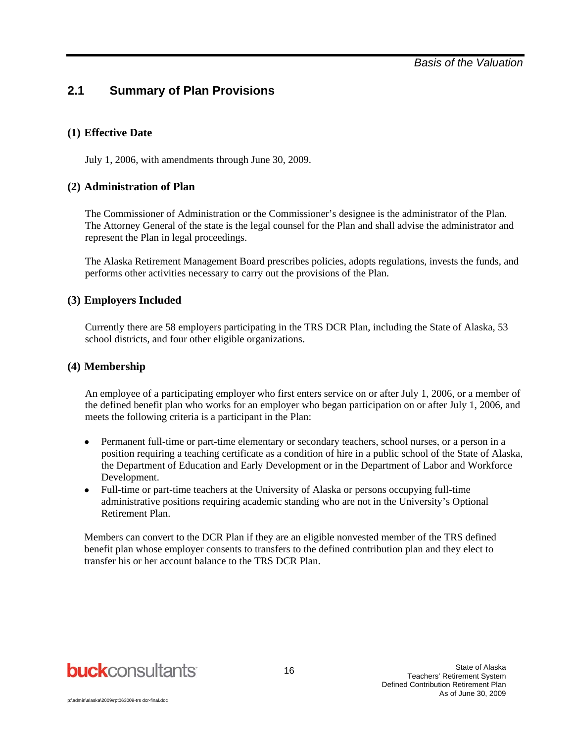## **2.1 Summary of Plan Provisions**

#### **(1) Effective Date**

July 1, 2006, with amendments through June 30, 2009.

#### **(2) Administration of Plan**

The Commissioner of Administration or the Commissioner's designee is the administrator of the Plan. The Attorney General of the state is the legal counsel for the Plan and shall advise the administrator and represent the Plan in legal proceedings.

The Alaska Retirement Management Board prescribes policies, adopts regulations, invests the funds, and performs other activities necessary to carry out the provisions of the Plan.

#### **(3) Employers Included**

Currently there are 58 employers participating in the TRS DCR Plan, including the State of Alaska, 53 school districts, and four other eligible organizations.

#### **(4) Membership**

An employee of a participating employer who first enters service on or after July 1, 2006, or a member of the defined benefit plan who works for an employer who began participation on or after July 1, 2006, and meets the following criteria is a participant in the Plan:

- Permanent full-time or part-time elementary or secondary teachers, school nurses, or a person in a position requiring a teaching certificate as a condition of hire in a public school of the State of Alaska, the Department of Education and Early Development or in the Department of Labor and Workforce Development.
- Full-time or part-time teachers at the University of Alaska or persons occupying full-time administrative positions requiring academic standing who are not in the University's Optional Retirement Plan.

Members can convert to the DCR Plan if they are an eligible nonvested member of the TRS defined benefit plan whose employer consents to transfers to the defined contribution plan and they elect to transfer his or her account balance to the TRS DCR Plan.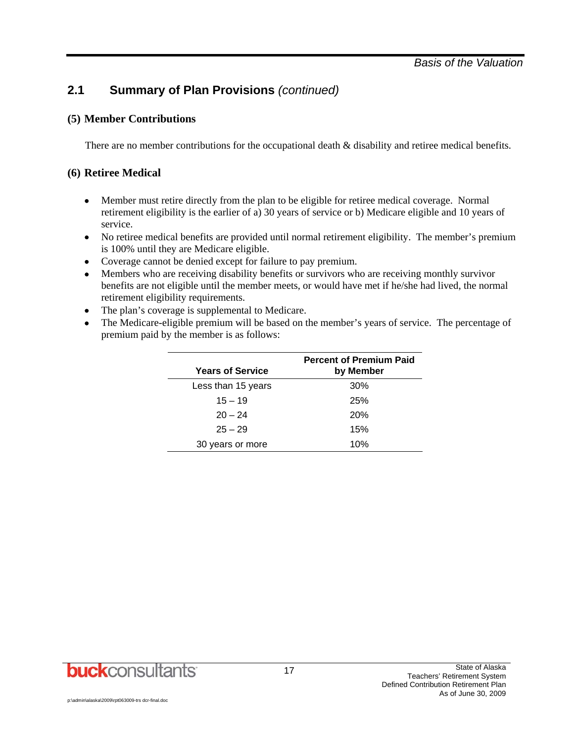## **2.1 Summary of Plan Provisions** *(continued)*

#### **(5) Member Contributions**

There are no member contributions for the occupational death  $\&$  disability and retiree medical benefits.

#### **(6) Retiree Medical**

- Member must retire directly from the plan to be eligible for retiree medical coverage. Normal retirement eligibility is the earlier of a) 30 years of service or b) Medicare eligible and 10 years of service.
- No retiree medical benefits are provided until normal retirement eligibility. The member's premium is 100% until they are Medicare eligible.
- Coverage cannot be denied except for failure to pay premium.
- Members who are receiving disability benefits or survivors who are receiving monthly survivor benefits are not eligible until the member meets, or would have met if he/she had lived, the normal retirement eligibility requirements.
- The plan's coverage is supplemental to Medicare.
- The Medicare-eligible premium will be based on the member's years of service. The percentage of premium paid by the member is as follows:

| <b>Years of Service</b> | <b>Percent of Premium Paid</b><br>by Member |
|-------------------------|---------------------------------------------|
| Less than 15 years      | 30%                                         |
| $15 - 19$               | 25%                                         |
| $20 - 24$               | 20%                                         |
| $25 - 29$               | 15%                                         |
| 30 years or more        | 10%                                         |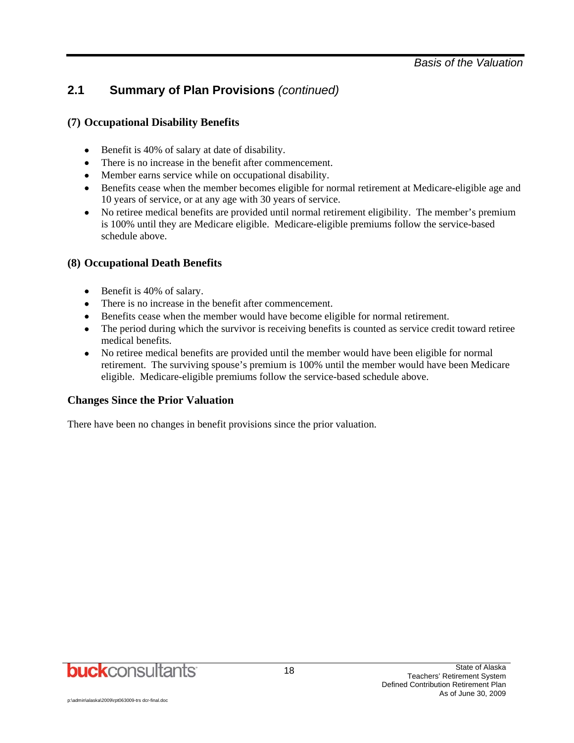## **2.1 Summary of Plan Provisions** *(continued)*

#### **(7) Occupational Disability Benefits**

- Benefit is 40% of salary at date of disability.
- There is no increase in the benefit after commencement.
- Member earns service while on occupational disability.
- Benefits cease when the member becomes eligible for normal retirement at Medicare-eligible age and 10 years of service, or at any age with 30 years of service.
- No retiree medical benefits are provided until normal retirement eligibility. The member's premium is 100% until they are Medicare eligible. Medicare-eligible premiums follow the service-based schedule above.

#### **(8) Occupational Death Benefits**

- Benefit is 40% of salary.
- There is no increase in the benefit after commencement.
- Benefits cease when the member would have become eligible for normal retirement.
- The period during which the survivor is receiving benefits is counted as service credit toward retiree medical benefits.
- No retiree medical benefits are provided until the member would have been eligible for normal retirement. The surviving spouse's premium is 100% until the member would have been Medicare eligible. Medicare-eligible premiums follow the service-based schedule above.

#### **Changes Since the Prior Valuation**

There have been no changes in benefit provisions since the prior valuation.

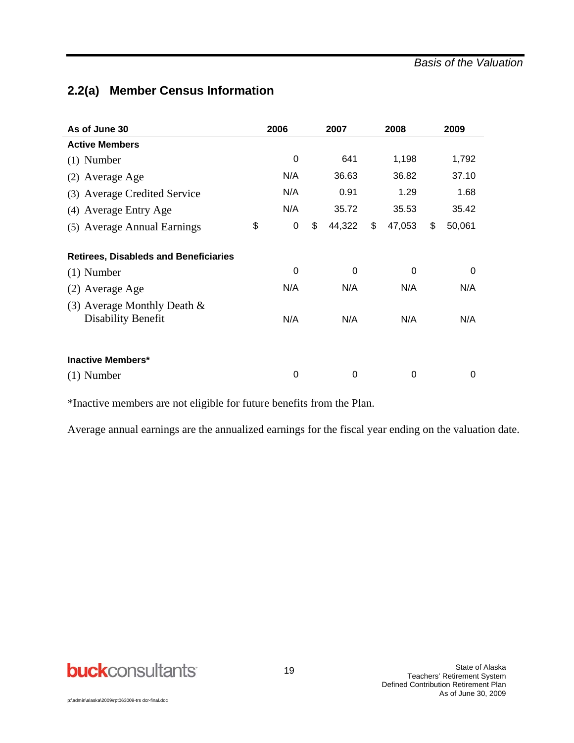## **2.2(a) Member Census Information**

| As of June 30                                               | 2006              | 2007         | 2008         | 2009         |
|-------------------------------------------------------------|-------------------|--------------|--------------|--------------|
| <b>Active Members</b>                                       |                   |              |              |              |
| $(1)$ Number                                                | $\Omega$          | 641          | 1,198        | 1,792        |
| (2) Average Age                                             | N/A               | 36.63        | 36.82        | 37.10        |
| (3) Average Credited Service                                | N/A               | 0.91         | 1.29         | 1.68         |
| (4) Average Entry Age                                       | N/A               | 35.72        | 35.53        | 35.42        |
| (5) Average Annual Earnings                                 | \$<br>$\mathbf 0$ | \$<br>44,322 | \$<br>47,053 | \$<br>50,061 |
| <b>Retirees, Disableds and Beneficiaries</b>                |                   |              |              |              |
| $(1)$ Number                                                | $\Omega$          | 0            | 0            | 0            |
| (2) Average Age                                             | N/A               | N/A          | N/A          | N/A          |
| (3) Average Monthly Death $\&$<br><b>Disability Benefit</b> | N/A               | N/A          | N/A          | N/A          |
| <b>Inactive Members*</b>                                    |                   |              |              |              |
| $(1)$ Number                                                | 0                 | 0            | 0            | 0            |

\*Inactive members are not eligible for future benefits from the Plan.

Average annual earnings are the annualized earnings for the fiscal year ending on the valuation date.

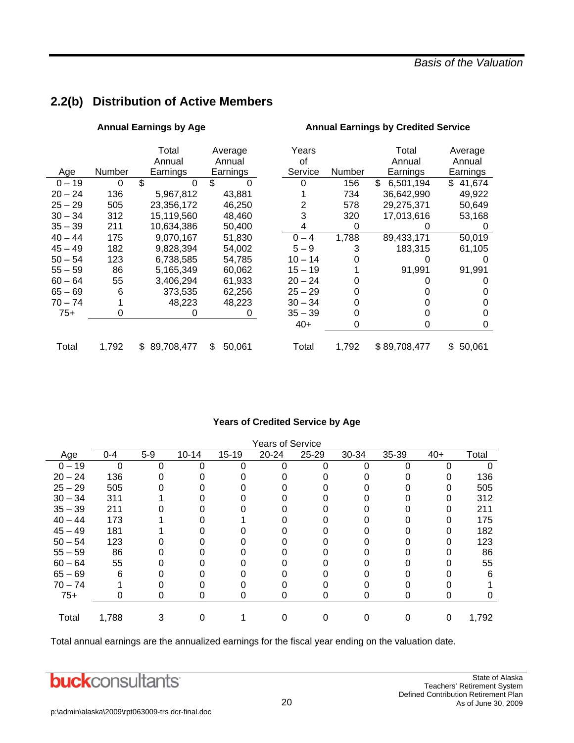*Basis of the Valuation* 

## **2.2(b) Distribution of Active Members**

|           |               | Total<br>Annual | Average<br>Annual | Years<br>οf |        | Total<br>Annual | Average<br>Annual |
|-----------|---------------|-----------------|-------------------|-------------|--------|-----------------|-------------------|
| Age       | <b>Number</b> | Earnings        | Earnings          | Service     | Number | Earnings        | Earnings          |
| $0 - 19$  | 0             | \$<br>0         | \$                | 0           | 156    | \$<br>6,501,194 | \$<br>41,674      |
| $20 - 24$ | 136           | 5,967,812       | 43,881            |             | 734    | 36,642,990      | 49,922            |
| $25 - 29$ | 505           | 23.356.172      | 46.250            | 2           | 578    | 29.275.371      | 50,649            |
| $30 - 34$ | 312           | 15,119,560      | 48,460            | 3           | 320    | 17,013,616      | 53,168            |
| $35 - 39$ | 211           | 10,634,386      | 50,400            |             | 0      |                 |                   |
| $40 - 44$ | 175           | 9,070,167       | 51,830            | $0 - 4$     | 1,788  | 89,433,171      | 50,019            |
| $45 - 49$ | 182           | 9,828,394       | 54,002            | $5 - 9$     | 3      | 183,315         | 61,105            |
| $50 - 54$ | 123           | 6,738,585       | 54,785            | $10 - 14$   |        |                 |                   |
| $55 - 59$ | 86            | 5,165,349       | 60,062            | $15 - 19$   |        | 91,991          | 91,991            |
| $60 - 64$ | 55            | 3,406,294       | 61.933            | $20 - 24$   |        |                 |                   |
| $65 - 69$ | 6             | 373,535         | 62,256            | $25 - 29$   |        |                 |                   |
| $70 - 74$ |               | 48,223          | 48.223            | $30 - 34$   |        |                 |                   |
| $75+$     | O             | 0               | 0                 | $35 - 39$   |        |                 | 0                 |
|           |               |                 |                   | $40+$       | 0      | 0               | 0                 |
| Total     | 1,792         | 89,708,477<br>S | \$<br>50,061      | Total       | 1,792  | \$89,708,477    | \$<br>50,061      |

#### Annual Earnings by Age **Annual Earnings by Credited Service Annual Earnings by Credited Service**

#### **Years of Credited Service by Age**

|           |          |       |           |           | Years of Service |           |       |       |       |       |
|-----------|----------|-------|-----------|-----------|------------------|-----------|-------|-------|-------|-------|
| Age       | $0 - 4$  | $5-9$ | $10 - 14$ | $15 - 19$ | $20 - 24$        | $25 - 29$ | 30-34 | 35-39 | $40+$ | Total |
| $0 - 19$  | $\Omega$ | 0     | 0         | O         | 0                | 0         | 0     |       |       |       |
| $20 - 24$ | 136      |       |           |           |                  |           |       |       |       | 136   |
| $25 - 29$ | 505      |       |           |           |                  |           |       |       |       | 505   |
| $30 - 34$ | 311      |       |           |           |                  |           |       |       | 0     | 312   |
| $35 - 39$ | 211      |       |           |           |                  |           |       |       | 0     | 211   |
| $40 - 44$ | 173      |       |           |           |                  |           |       |       |       | 175   |
| $45 - 49$ | 181      |       |           |           |                  |           |       |       |       | 182   |
| $50 - 54$ | 123      |       |           |           |                  |           |       |       |       | 123   |
| $55 - 59$ | 86       |       |           |           |                  |           |       |       |       | 86    |
| $60 - 64$ | 55       |       |           |           |                  |           |       |       |       | 55    |
| $65 - 69$ | 6        |       |           |           |                  |           |       |       |       | 6     |
| $70 - 74$ |          |       |           |           |                  |           |       |       |       |       |
| $75+$     | O        |       |           | O         | υ                | O         |       |       |       | O     |
|           |          |       |           |           |                  |           |       |       |       |       |
| Total     | 1,788    | 3     |           |           |                  |           |       |       | 0     | 1,792 |

Total annual earnings are the annualized earnings for the fiscal year ending on the valuation date.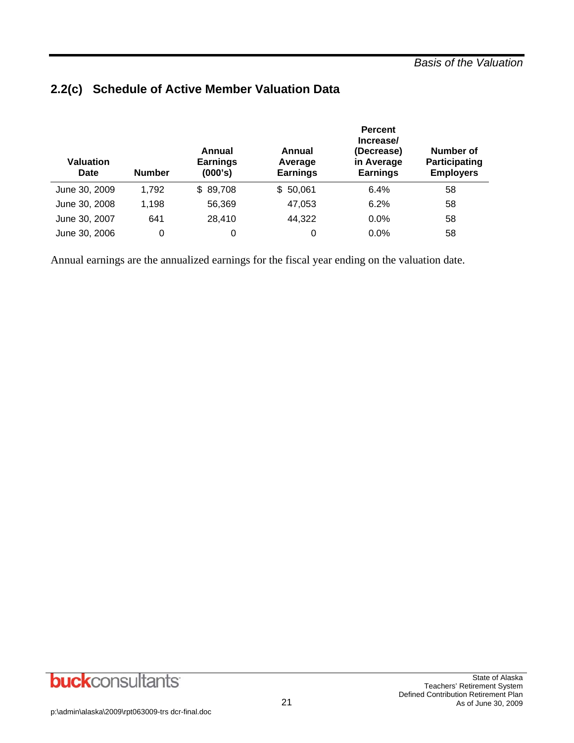| Valuation<br><b>Date</b> | <b>Number</b> | Annual<br><b>Earnings</b><br>(000's) | Annual<br>Average<br><b>Earnings</b> | <b>Percent</b><br>Increase/<br>(Decrease)<br>in Average<br><b>Earnings</b> | Number of<br>Participating<br><b>Employers</b> |
|--------------------------|---------------|--------------------------------------|--------------------------------------|----------------------------------------------------------------------------|------------------------------------------------|
| June 30, 2009            | 1,792         | \$89,708                             | \$50,061                             | 6.4%                                                                       | 58                                             |
| June 30, 2008            | 1,198         | 56,369                               | 47,053                               | 6.2%                                                                       | 58                                             |
| June 30, 2007            | 641           | 28,410                               | 44,322                               | $0.0\%$                                                                    | 58                                             |
| June 30, 2006            | 0             | 0                                    | 0                                    | $0.0\%$                                                                    | 58                                             |

## **2.2(c) Schedule of Active Member Valuation Data**

Annual earnings are the annualized earnings for the fiscal year ending on the valuation date.

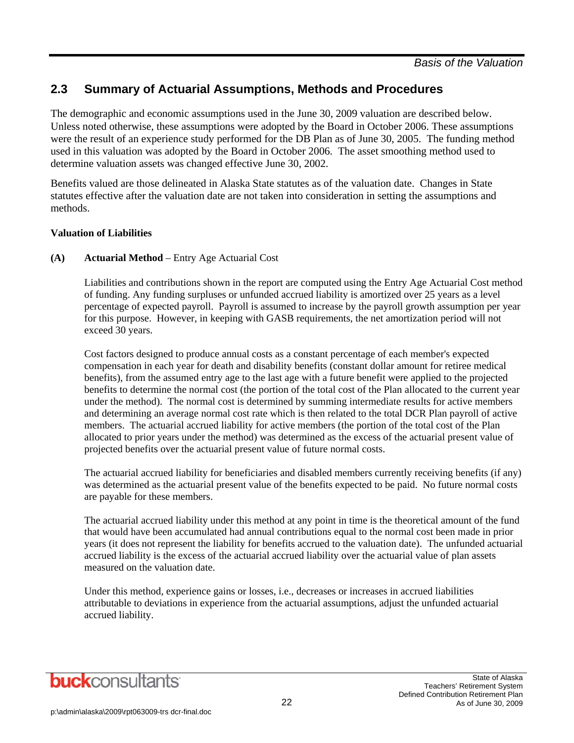The demographic and economic assumptions used in the June 30, 2009 valuation are described below. Unless noted otherwise, these assumptions were adopted by the Board in October 2006. These assumptions were the result of an experience study performed for the DB Plan as of June 30, 2005. The funding method used in this valuation was adopted by the Board in October 2006. The asset smoothing method used to determine valuation assets was changed effective June 30, 2002.

Benefits valued are those delineated in Alaska State statutes as of the valuation date. Changes in State statutes effective after the valuation date are not taken into consideration in setting the assumptions and methods.

#### **Valuation of Liabilities**

#### **(A) Actuarial Method** – Entry Age Actuarial Cost

Liabilities and contributions shown in the report are computed using the Entry Age Actuarial Cost method of funding. Any funding surpluses or unfunded accrued liability is amortized over 25 years as a level percentage of expected payroll. Payroll is assumed to increase by the payroll growth assumption per year for this purpose. However, in keeping with GASB requirements, the net amortization period will not exceed 30 years.

Cost factors designed to produce annual costs as a constant percentage of each member's expected compensation in each year for death and disability benefits (constant dollar amount for retiree medical benefits), from the assumed entry age to the last age with a future benefit were applied to the projected benefits to determine the normal cost (the portion of the total cost of the Plan allocated to the current year under the method). The normal cost is determined by summing intermediate results for active members and determining an average normal cost rate which is then related to the total DCR Plan payroll of active members. The actuarial accrued liability for active members (the portion of the total cost of the Plan allocated to prior years under the method) was determined as the excess of the actuarial present value of projected benefits over the actuarial present value of future normal costs.

The actuarial accrued liability for beneficiaries and disabled members currently receiving benefits (if any) was determined as the actuarial present value of the benefits expected to be paid. No future normal costs are payable for these members.

The actuarial accrued liability under this method at any point in time is the theoretical amount of the fund that would have been accumulated had annual contributions equal to the normal cost been made in prior years (it does not represent the liability for benefits accrued to the valuation date). The unfunded actuarial accrued liability is the excess of the actuarial accrued liability over the actuarial value of plan assets measured on the valuation date.

Under this method, experience gains or losses, i.e., decreases or increases in accrued liabilities attributable to deviations in experience from the actuarial assumptions, adjust the unfunded actuarial accrued liability.

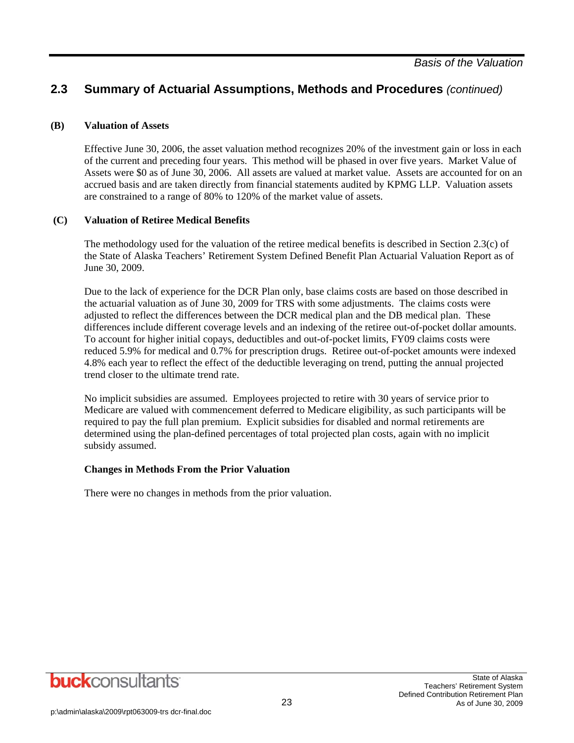#### **(B) Valuation of Assets**

Effective June 30, 2006, the asset valuation method recognizes 20% of the investment gain or loss in each of the current and preceding four years. This method will be phased in over five years. Market Value of Assets were \$0 as of June 30, 2006. All assets are valued at market value. Assets are accounted for on an accrued basis and are taken directly from financial statements audited by KPMG LLP. Valuation assets are constrained to a range of 80% to 120% of the market value of assets.

#### **(C) Valuation of Retiree Medical Benefits**

The methodology used for the valuation of the retiree medical benefits is described in Section 2.3(c) of the State of Alaska Teachers' Retirement System Defined Benefit Plan Actuarial Valuation Report as of June 30, 2009.

Due to the lack of experience for the DCR Plan only, base claims costs are based on those described in the actuarial valuation as of June 30, 2009 for TRS with some adjustments. The claims costs were adjusted to reflect the differences between the DCR medical plan and the DB medical plan. These differences include different coverage levels and an indexing of the retiree out-of-pocket dollar amounts. To account for higher initial copays, deductibles and out-of-pocket limits, FY09 claims costs were reduced 5.9% for medical and 0.7% for prescription drugs. Retiree out-of-pocket amounts were indexed 4.8% each year to reflect the effect of the deductible leveraging on trend, putting the annual projected trend closer to the ultimate trend rate.

No implicit subsidies are assumed. Employees projected to retire with 30 years of service prior to Medicare are valued with commencement deferred to Medicare eligibility, as such participants will be required to pay the full plan premium. Explicit subsidies for disabled and normal retirements are determined using the plan-defined percentages of total projected plan costs, again with no implicit subsidy assumed.

#### **Changes in Methods From the Prior Valuation**

There were no changes in methods from the prior valuation.

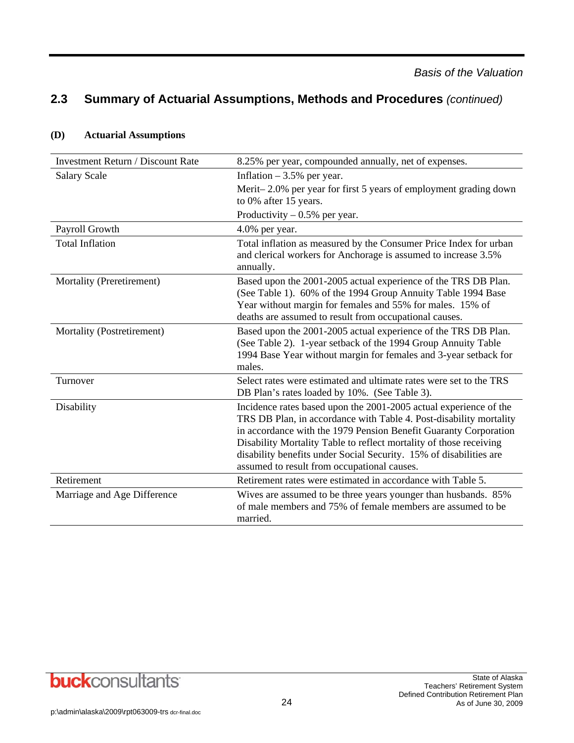| (D) | <b>Actuarial Assumptions</b> |  |
|-----|------------------------------|--|
|-----|------------------------------|--|

| <b>Investment Return / Discount Rate</b> | 8.25% per year, compounded annually, net of expenses.                                                                                  |
|------------------------------------------|----------------------------------------------------------------------------------------------------------------------------------------|
| <b>Salary Scale</b>                      | Inflation $-3.5%$ per year.                                                                                                            |
|                                          | Merit-2.0% per year for first 5 years of employment grading down                                                                       |
|                                          | to 0% after 15 years.                                                                                                                  |
|                                          | Productivity $-0.5%$ per year.                                                                                                         |
| Payroll Growth                           | 4.0% per year.                                                                                                                         |
| <b>Total Inflation</b>                   | Total inflation as measured by the Consumer Price Index for urban                                                                      |
|                                          | and clerical workers for Anchorage is assumed to increase 3.5%<br>annually.                                                            |
| Mortality (Preretirement)                | Based upon the 2001-2005 actual experience of the TRS DB Plan.                                                                         |
|                                          | (See Table 1). 60% of the 1994 Group Annuity Table 1994 Base                                                                           |
|                                          | Year without margin for females and 55% for males. 15% of<br>deaths are assumed to result from occupational causes.                    |
| Mortality (Postretirement)               | Based upon the 2001-2005 actual experience of the TRS DB Plan.                                                                         |
|                                          | (See Table 2). 1-year setback of the 1994 Group Annuity Table                                                                          |
|                                          | 1994 Base Year without margin for females and 3-year setback for                                                                       |
|                                          | males.                                                                                                                                 |
| Turnover                                 | Select rates were estimated and ultimate rates were set to the TRS                                                                     |
|                                          | DB Plan's rates loaded by 10%. (See Table 3).                                                                                          |
| Disability                               | Incidence rates based upon the 2001-2005 actual experience of the                                                                      |
|                                          | TRS DB Plan, in accordance with Table 4. Post-disability mortality                                                                     |
|                                          | in accordance with the 1979 Pension Benefit Guaranty Corporation<br>Disability Mortality Table to reflect mortality of those receiving |
|                                          | disability benefits under Social Security. 15% of disabilities are                                                                     |
|                                          | assumed to result from occupational causes.                                                                                            |
| Retirement                               | Retirement rates were estimated in accordance with Table 5.                                                                            |
| Marriage and Age Difference              | Wives are assumed to be three years younger than husbands. 85%                                                                         |
|                                          | of male members and 75% of female members are assumed to be<br>married.                                                                |

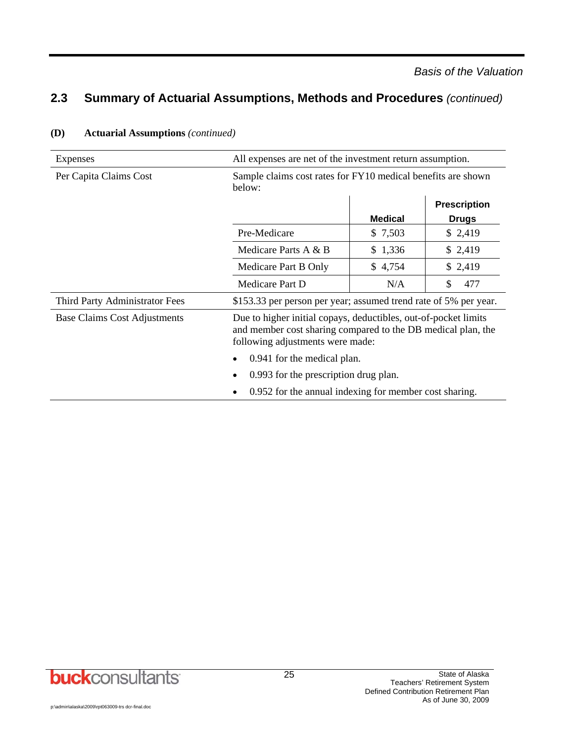| Expenses                            | All expenses are net of the investment return assumption.                                                                                                           |                |                     |  |
|-------------------------------------|---------------------------------------------------------------------------------------------------------------------------------------------------------------------|----------------|---------------------|--|
| Per Capita Claims Cost              | Sample claims cost rates for FY10 medical benefits are shown<br>below:                                                                                              |                |                     |  |
|                                     |                                                                                                                                                                     |                | <b>Prescription</b> |  |
|                                     |                                                                                                                                                                     | <b>Medical</b> | <b>Drugs</b>        |  |
|                                     | Pre-Medicare                                                                                                                                                        | \$7,503        | \$2,419             |  |
|                                     | Medicare Parts A & B                                                                                                                                                | \$1,336        | \$2,419             |  |
|                                     | Medicare Part B Only                                                                                                                                                | \$4,754        | \$2,419             |  |
|                                     | Medicare Part D                                                                                                                                                     | N/A            | 477<br>S            |  |
| Third Party Administrator Fees      | \$153.33 per person per year; assumed trend rate of 5% per year.                                                                                                    |                |                     |  |
| <b>Base Claims Cost Adjustments</b> | Due to higher initial copays, deductibles, out-of-pocket limits<br>and member cost sharing compared to the DB medical plan, the<br>following adjustments were made: |                |                     |  |
|                                     | 0.941 for the medical plan.                                                                                                                                         |                |                     |  |
|                                     | 0.993 for the prescription drug plan.                                                                                                                               |                |                     |  |
|                                     | 0.952 for the annual indexing for member cost sharing.<br>٠                                                                                                         |                |                     |  |

#### **(D) Actuarial Assumptions** *(continued)*



p:\admin\alaska\2009\rpt063009-trs dcr-final.doc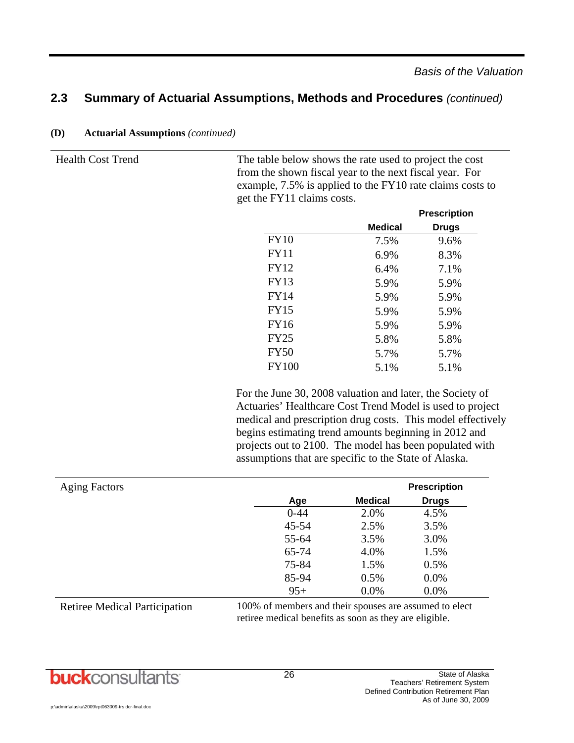|              |                | <b>Prescription</b> |
|--------------|----------------|---------------------|
|              | <b>Medical</b> | <b>Drugs</b>        |
| <b>FY10</b>  | 7.5%           | 9.6%                |
| <b>FY11</b>  | 6.9%           | 8.3%                |
| <b>FY12</b>  | 6.4%           | 7.1%                |
| <b>FY13</b>  | 5.9%           | 5.9%                |
| <b>FY14</b>  | 5.9%           | 5.9%                |
| <b>FY15</b>  | 5.9%           | 5.9%                |
| <b>FY16</b>  | 5.9%           | 5.9%                |
| <b>FY25</b>  | 5.8%           | 5.8%                |
| <b>FY50</b>  | 5.7%           | 5.7%                |
| <b>FY100</b> | 5.1%           | 5.1%                |
|              |                |                     |

#### **(D) Actuarial Assumptions** *(continued)*

Health Cost Trend The table below shows the rate used to project the cost from the shown fiscal year to the next fiscal year. For example, 7.5% is applied to the FY10 rate claims costs to get the FY11 claims costs.

> For the June 30, 2008 valuation and later, the Society of Actuaries' Healthcare Cost Trend Model is used to project medical and prescription drug costs. This model effectively begins estimating trend amounts beginning in 2012 and projects out to 2100. The model has been populated with assumptions that are specific to the State of Alaska.

| <b>Aging Factors</b> |          |                | <b>Prescription</b> |
|----------------------|----------|----------------|---------------------|
|                      | Age      | <b>Medical</b> | <b>Drugs</b>        |
|                      | $0 - 44$ | 2.0%           | 4.5%                |
|                      | 45-54    | 2.5%           | 3.5%                |
|                      | 55-64    | 3.5%           | 3.0%                |
|                      | 65-74    | 4.0%           | 1.5%                |
|                      | 75-84    | 1.5%           | 0.5%                |
|                      | 85-94    | 0.5%           | 0.0%                |
|                      | $95+$    | 0.0%           | 0.0%                |

Retiree Medical Participation 100% of members and their spouses are assumed to elect retiree medical benefits as soon as they are eligible.

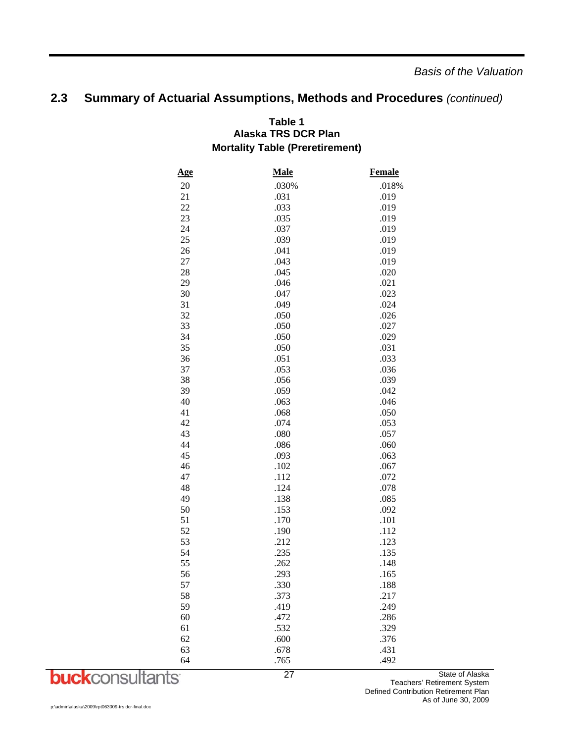#### **Table 1 Alaska TRS DCR Plan Mortality Table (Preretirement)**

| <u>Age</u> | <b>Male</b> | Female |
|------------|-------------|--------|
| 20         | .030%       | .018%  |
| 21         | .031        | .019   |
| 22         | .033        | .019   |
| 23         | .035        | .019   |
| 24         | .037        | .019   |
| 25         | .039        | .019   |
| 26         | .041        | .019   |
| 27         | .043        | .019   |
| 28         | .045        | .020   |
| 29         | .046        | .021   |
| 30         | .047        | .023   |
| 31         | .049        | .024   |
| 32         | .050        | .026   |
| 33         | .050        | .027   |
| 34         | .050        | .029   |
| 35         | .050        | .031   |
| 36         | .051        | .033   |
| 37         | .053        | .036   |
| 38         | .056        | .039   |
| 39         | .059        | .042   |
| 40         | .063        | .046   |
| 41         | .068        | .050   |
| 42         | .074        | .053   |
| 43         | .080        | .057   |
| 44         | .086        | .060   |
| 45         | .093        | .063   |
| 46         | .102        | .067   |
| 47         | .112        | .072   |
| 48         | .124        | .078   |
| 49         | .138        | .085   |
| 50         | .153        | .092   |
| 51         | .170        | .101   |
| 52         | .190        | .112   |
| 53         | .212        | .123   |
| 54         | .235        | .135   |
| 55         | .262        | .148   |
| 56         | .293        | .165   |
| 57         | 330         | .188   |
| 58         | .373        | .217   |
| 59         | .419        | .249   |
| 60         | .472        | .286   |
| 61         | .532        | .329   |
| 62         | .600        | .376   |
| 63         | .678        | .431   |
| 64         | .765        | .492   |

27



State of Alaska Teachers' Retirement System Defined Contribution Retirement Plan As of June 30, 2009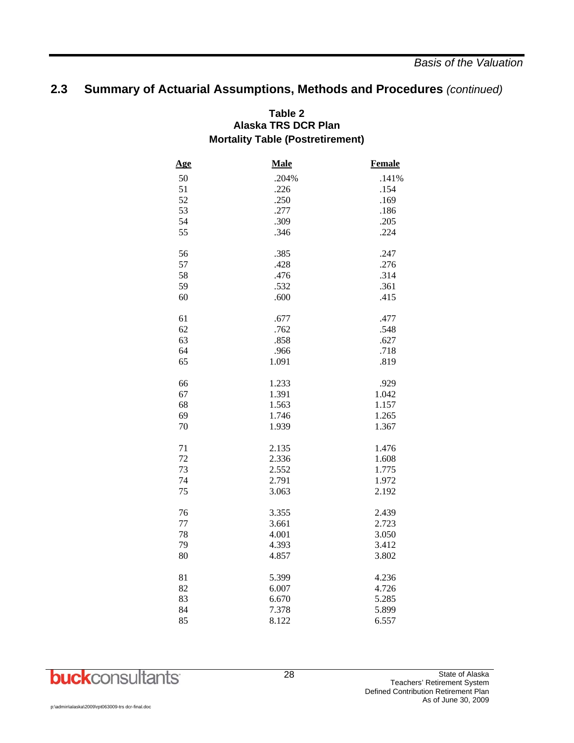#### **Table 2 Alaska TRS DCR Plan Mortality Table (Postretirement)**

| Age | Male  | Female |
|-----|-------|--------|
| 50  | .204% | .141%  |
| 51  | .226  | .154   |
| 52  | .250  | .169   |
| 53  | .277  | .186   |
| 54  | .309  | .205   |
| 55  | .346  | .224   |
| 56  | .385  | .247   |
| 57  | .428  | .276   |
| 58  | .476  | .314   |
| 59  | .532  | .361   |
| 60  | .600  | .415   |
| 61  | .677  | .477   |
| 62  | .762  | .548   |
| 63  | .858  | .627   |
| 64  | .966  | .718   |
| 65  | 1.091 | .819   |
| 66  | 1.233 | .929   |
| 67  | 1.391 | 1.042  |
| 68  | 1.563 | 1.157  |
| 69  | 1.746 | 1.265  |
| 70  | 1.939 | 1.367  |
| 71  | 2.135 | 1.476  |
| 72  | 2.336 | 1.608  |
| 73  | 2.552 | 1.775  |
| 74  | 2.791 | 1.972  |
| 75  | 3.063 | 2.192  |
| 76  | 3.355 | 2.439  |
| 77  | 3.661 | 2.723  |
| 78  | 4.001 | 3.050  |
| 79  | 4.393 | 3.412  |
| 80  | 4.857 | 3.802  |
| 81  | 5.399 | 4.236  |
| 82  | 6.007 | 4.726  |
| 83  | 6.670 | 5.285  |
| 84  | 7.378 | 5.899  |
| 85  | 8.122 | 6.557  |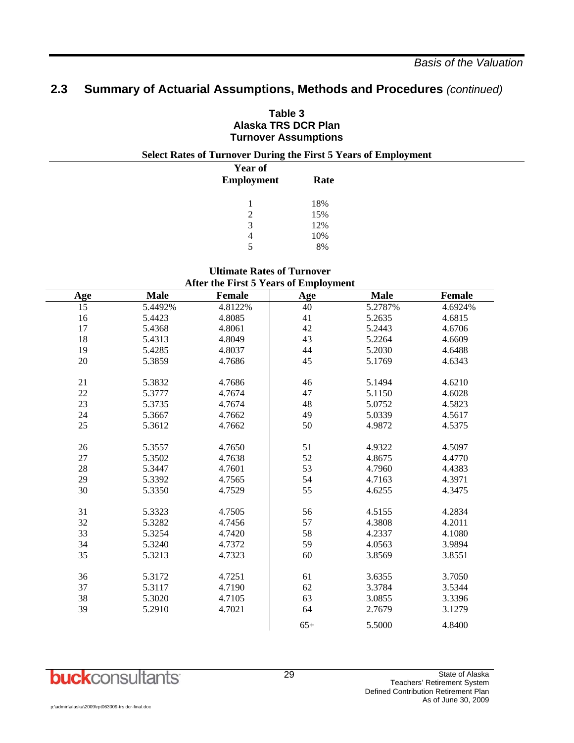| Table 3                     |  |  |
|-----------------------------|--|--|
| Alaska TRS DCR Plan         |  |  |
| <b>Turnover Assumptions</b> |  |  |

#### **Select Rates of Turnover During the First 5 Years of Employment**

| ີ<br>Year of      |      |  |
|-------------------|------|--|
| <b>Employment</b> | Rate |  |
|                   |      |  |
|                   | 18%  |  |
| 2                 | 15%  |  |
| 3                 | 12%  |  |
|                   | 10%  |  |
|                   | 8%   |  |
|                   |      |  |

#### **Ultimate Rates of Turnover After the First 5 Years of Employment**

|                 |             | And the Phot 5 Tears of Employment |       |             |               |
|-----------------|-------------|------------------------------------|-------|-------------|---------------|
| Age             | <b>Male</b> | <b>Female</b>                      | Age   | <b>Male</b> | <b>Female</b> |
| $\overline{15}$ | 5.4492%     | 4.8122%                            | 40    | 5.2787%     | 4.6924%       |
| 16              | 5.4423      | 4.8085                             | 41    | 5.2635      | 4.6815        |
| 17              | 5.4368      | 4.8061                             | 42    | 5.2443      | 4.6706        |
| 18              | 5.4313      | 4.8049                             | 43    | 5.2264      | 4.6609        |
| 19              | 5.4285      | 4.8037                             | 44    | 5.2030      | 4.6488        |
| 20              | 5.3859      | 4.7686                             | 45    | 5.1769      | 4.6343        |
|                 |             |                                    |       |             |               |
| 21              | 5.3832      | 4.7686                             | 46    | 5.1494      | 4.6210        |
| $22\,$          | 5.3777      | 4.7674                             | 47    | 5.1150      | 4.6028        |
| 23              | 5.3735      | 4.7674                             | 48    | 5.0752      | 4.5823        |
| 24              | 5.3667      | 4.7662                             | 49    | 5.0339      | 4.5617        |
| 25              | 5.3612      | 4.7662                             | 50    | 4.9872      | 4.5375        |
|                 |             |                                    |       |             |               |
| 26              | 5.3557      | 4.7650                             | 51    | 4.9322      | 4.5097        |
| $27\,$          | 5.3502      | 4.7638                             | 52    | 4.8675      | 4.4770        |
| $28\,$          | 5.3447      | 4.7601                             | 53    | 4.7960      | 4.4383        |
| 29              | 5.3392      | 4.7565                             | 54    | 4.7163      | 4.3971        |
| 30              | 5.3350      | 4.7529                             | 55    | 4.6255      | 4.3475        |
|                 |             |                                    |       |             |               |
| 31              | 5.3323      | 4.7505                             | 56    | 4.5155      | 4.2834        |
| 32              | 5.3282      | 4.7456                             | 57    | 4.3808      | 4.2011        |
| 33              | 5.3254      | 4.7420                             | 58    | 4.2337      | 4.1080        |
| 34              | 5.3240      | 4.7372                             | 59    | 4.0563      | 3.9894        |
| 35              | 5.3213      | 4.7323                             | 60    | 3.8569      | 3.8551        |
|                 |             |                                    |       |             |               |
| 36              | 5.3172      | 4.7251                             | 61    | 3.6355      | 3.7050        |
| 37              | 5.3117      | 4.7190                             | 62    | 3.3784      | 3.5344        |
| 38              | 5.3020      | 4.7105                             | 63    | 3.0855      | 3.3396        |
| 39              | 5.2910      | 4.7021                             | 64    | 2.7679      | 3.1279        |
|                 |             |                                    | $65+$ | 5.5000      | 4.8400        |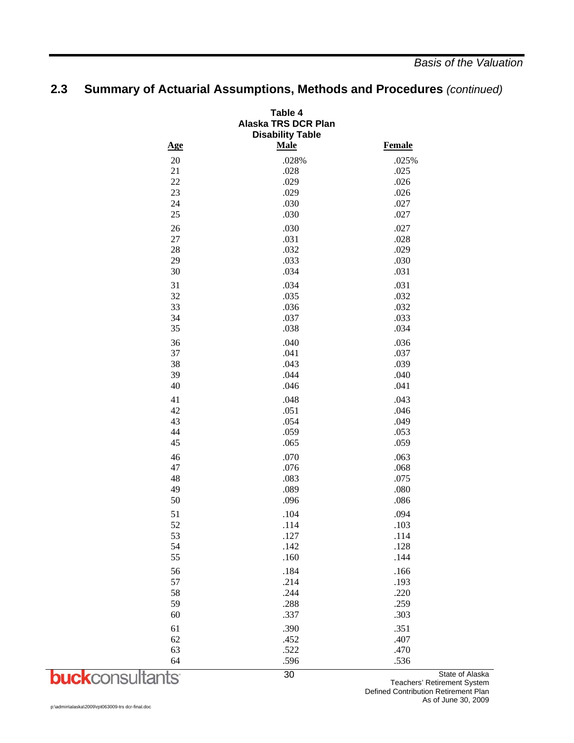|            | Table 4<br><b>Alaska TRS DCR Plan</b><br><b>Disability Table</b> |               |
|------------|------------------------------------------------------------------|---------------|
| <u>Age</u> | <b>Male</b>                                                      | <b>Female</b> |
| 20         | .028%                                                            | .025%         |
| 21         | .028                                                             | .025          |
| 22         | .029                                                             | .026          |
| 23         | .029                                                             | .026          |
| 24         | .030                                                             | .027          |
| 25         | .030                                                             | .027          |
| 26         | .030                                                             | .027          |
| 27         | .031                                                             | .028          |
| 28         | .032                                                             | .029          |
| 29         | .033                                                             | .030          |
| 30         | .034                                                             | .031          |
| 31         | .034                                                             | .031          |
| 32         | .035                                                             | .032          |
| 33         | .036                                                             | .032          |
| 34         | .037                                                             | .033          |
| 35         | .038                                                             | .034          |
| 36         | .040                                                             | .036          |
| 37         | .041                                                             | .037          |
| 38         | .043                                                             | .039          |
| 39         | .044                                                             | .040          |
| 40         | .046                                                             | .041          |
| 41         | .048                                                             | .043          |
| 42         | .051                                                             | .046          |
| 43         | .054                                                             | .049          |
| 44         | .059                                                             | .053          |
| 45         | .065                                                             | .059          |
| 46         | .070                                                             | .063          |
| 47         | .076                                                             | .068          |
| 48         | .083                                                             | .075          |
| 49         | .089                                                             | .080          |
| 50         | .096                                                             | .086          |
| 51         | .104                                                             | .094          |
| 52         | .114                                                             | .103          |
| 53         | .127                                                             | .114          |
| 54         | .142                                                             | .128          |
| 55         | .160                                                             | .144          |
| 56         | .184                                                             | .166          |
| 57         | .214                                                             | .193          |
| 58         | .244                                                             | .220          |
| 59         | .288                                                             | .259          |
| 60         | .337                                                             | .303          |
| 61         | .390                                                             | .351          |
| 62         | .452                                                             | .407          |
| 63         | .522                                                             | .470          |
| 64         | .596                                                             | .536          |
| to:        | 30                                                               |               |



State of Alaska Teachers' Retirement System Defined Contribution Retirement Plan As of June 30, 2009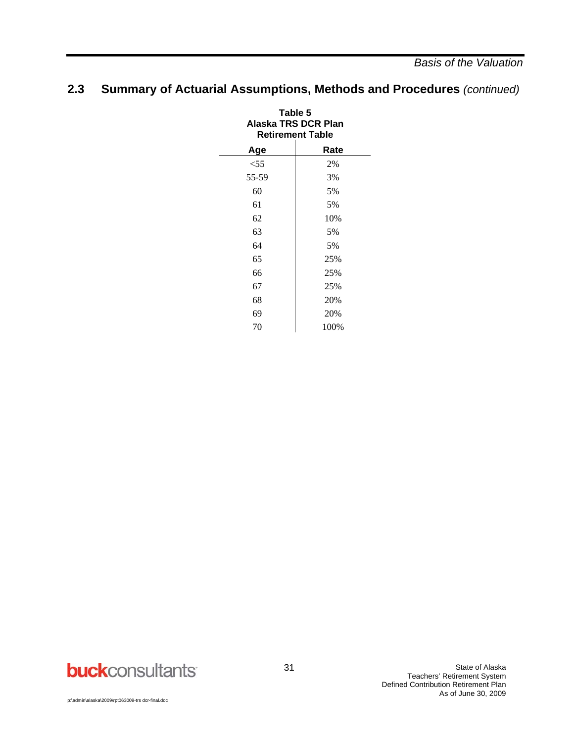| Table 5<br>Alaska TRS DCR Plan<br><b>Retirement Table</b> |      |  |  |  |  |  |  |  |  |
|-----------------------------------------------------------|------|--|--|--|--|--|--|--|--|
| Age                                                       | Rate |  |  |  |  |  |  |  |  |
| $<$ 55                                                    | 2%   |  |  |  |  |  |  |  |  |
| 55-59                                                     | 3%   |  |  |  |  |  |  |  |  |
| 60                                                        | 5%   |  |  |  |  |  |  |  |  |
| 61                                                        | 5%   |  |  |  |  |  |  |  |  |
| 62                                                        | 10%  |  |  |  |  |  |  |  |  |
| 63                                                        | 5%   |  |  |  |  |  |  |  |  |
| 64                                                        | 5%   |  |  |  |  |  |  |  |  |
| 65                                                        | 25%  |  |  |  |  |  |  |  |  |
| 66                                                        | 25%  |  |  |  |  |  |  |  |  |
| 67                                                        | 25%  |  |  |  |  |  |  |  |  |
| 68                                                        | 20%  |  |  |  |  |  |  |  |  |
| 69                                                        | 20%  |  |  |  |  |  |  |  |  |
| 70                                                        | 100% |  |  |  |  |  |  |  |  |

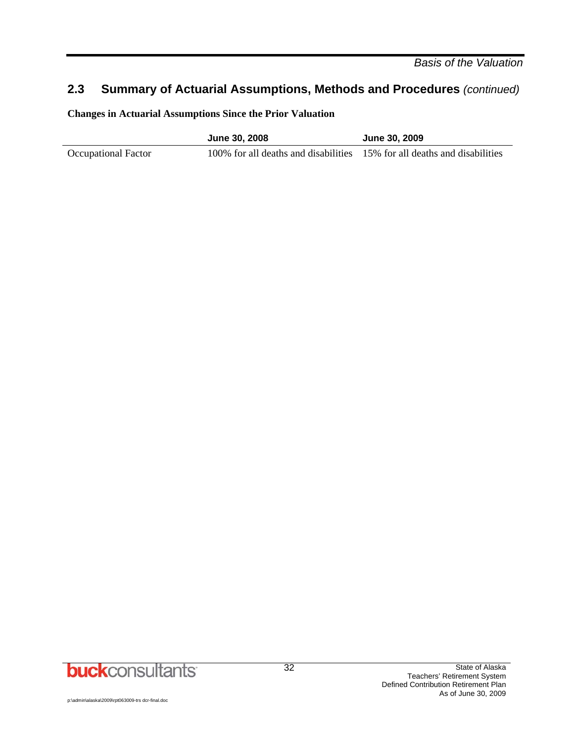*Basis of the Valuation* 

## **2.3 Summary of Actuarial Assumptions, Methods and Procedures** *(continued)*

**Changes in Actuarial Assumptions Since the Prior Valuation** 

Ĭ.

|                            | <b>June 30, 2008</b>                                                     | June 30, 2009 |
|----------------------------|--------------------------------------------------------------------------|---------------|
| <b>Occupational Factor</b> | 100% for all deaths and disabilities 15% for all deaths and disabilities |               |

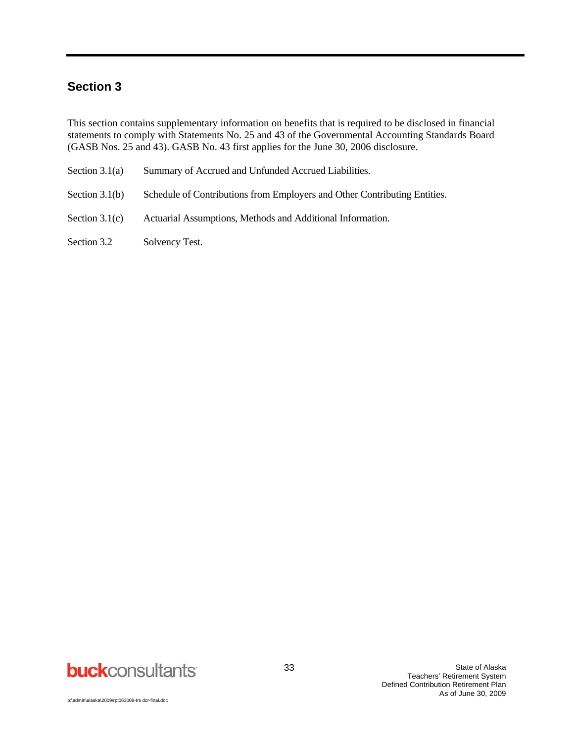## **Section 3**

This section contains supplementary information on benefits that is required to be disclosed in financial statements to comply with Statements No. 25 and 43 of the Governmental Accounting Standards Board (GASB Nos. 25 and 43). GASB No. 43 first applies for the June 30, 2006 disclosure.

| Section $3.1(a)$ | Summary of Accrued and Unfunded Accrued Liabilities.                      |
|------------------|---------------------------------------------------------------------------|
| Section $3.1(b)$ | Schedule of Contributions from Employers and Other Contributing Entities. |
| Section $3.1(c)$ | Actuarial Assumptions, Methods and Additional Information.                |

Section 3.2 Solvency Test.

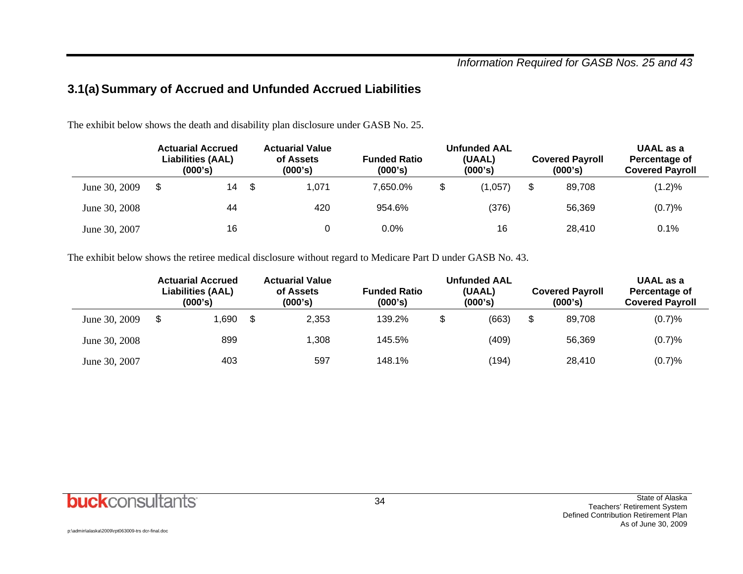## **3.1(a) Summary of Accrued and Unfunded Accrued Liabilities**

The exhibit below shows the death and disability plan disclosure under GASB No. 25.

|               | <b>Actuarial Accrued</b><br>Liabilities (AAL)<br>(000's) |    |      | <b>Actuarial Value</b><br>of Assets<br>(000's) | <b>Funded Ratio</b><br>(000's) | <b>Unfunded AAL</b><br>(UAAL)<br>(000's) | <b>Covered Payroll</b><br>(000's) | UAAL as a<br>Percentage of<br><b>Covered Payroll</b> |  |
|---------------|----------------------------------------------------------|----|------|------------------------------------------------|--------------------------------|------------------------------------------|-----------------------------------|------------------------------------------------------|--|
| June 30, 2009 | \$                                                       | 14 | - \$ | 1.071                                          | 7.650.0%                       | (1,057)                                  | \$<br>89.708                      | $(1.2)\%$                                            |  |
| June 30, 2008 |                                                          | 44 |      | 420                                            | 954.6%                         | (376)                                    | 56.369                            | (0.7)%                                               |  |
| June 30, 2007 |                                                          | 16 |      |                                                | $0.0\%$                        | 16                                       | 28.410                            | 0.1%                                                 |  |

The exhibit below shows the retiree medical disclosure without regard to Medicare Part D under GASB No. 43.

|               | <b>Actuarial Accrued</b><br>Liabilities (AAL)<br>(000's) |       |   | <b>Actuarial Value</b><br>of Assets<br>(000's) | <b>Funded Ratio</b><br>(000's) |   | <b>Unfunded AAL</b><br>(UAAL)<br>(000's) | <b>Covered Payroll</b><br>(000's) | UAAL as a<br>Percentage of<br><b>Covered Payroll</b> |  |
|---------------|----------------------------------------------------------|-------|---|------------------------------------------------|--------------------------------|---|------------------------------------------|-----------------------------------|------------------------------------------------------|--|
| June 30, 2009 | \$                                                       | 1.690 | S | 2.353                                          | 139.2%                         | S | (663)                                    | \$<br>89.708                      | (0.7)%                                               |  |
| June 30, 2008 |                                                          | 899   |   | 1,308                                          | 145.5%                         |   | (409)                                    | 56.369                            | (0.7)%                                               |  |
| June 30, 2007 |                                                          | 403   |   | 597                                            | 148.1%                         |   | (194)                                    | 28,410                            | (0.7)%                                               |  |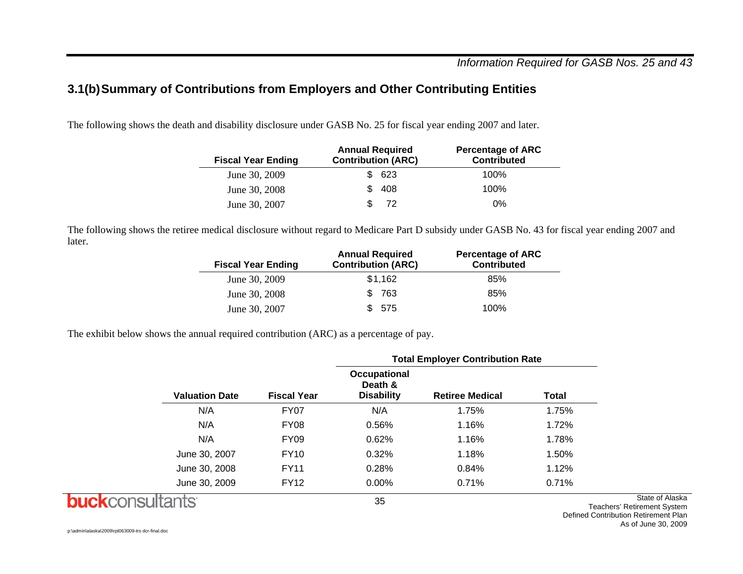#### *Information Required for GASB Nos. 25 and 43*

## **3.1(b) Summary of Contributions from Employers and Other Contributing Entities**

The following shows the death and disability disclosure under GASB No. 25 for fiscal year ending 2007 and later.

| <b>Fiscal Year Ending</b> | <b>Annual Required</b><br><b>Contribution (ARC)</b> |     | <b>Percentage of ARC</b><br><b>Contributed</b> |
|---------------------------|-----------------------------------------------------|-----|------------------------------------------------|
| June 30, 2009             |                                                     | 623 | 100%                                           |
| June 30, 2008             |                                                     | 408 | 100%                                           |
| June 30, 2007             |                                                     | 72  | $0\%$                                          |

The following shows the retiree medical disclosure without regard to Medicare Part D subsidy under GASB No. 43 for fiscal year ending 2007 and later.

| <b>Fiscal Year Ending</b> | <b>Annual Required</b><br><b>Contribution (ARC)</b> | <b>Percentage of ARC</b><br><b>Contributed</b> |
|---------------------------|-----------------------------------------------------|------------------------------------------------|
| June 30, 2009             | \$1,162                                             | 85%                                            |
| June 30, 2008             | \$763                                               | 85%                                            |
| June 30, 2007             | \$575                                               | 100%                                           |

The exhibit below shows the annual required contribution (ARC) as a percentage of pay.

|                       |                    | <b>Total Employer Contribution Rate</b>      |                        |              |  |  |  |  |
|-----------------------|--------------------|----------------------------------------------|------------------------|--------------|--|--|--|--|
| <b>Valuation Date</b> | <b>Fiscal Year</b> | Occupational<br>Death &<br><b>Disability</b> | <b>Retiree Medical</b> | <b>Total</b> |  |  |  |  |
| N/A                   | <b>FY07</b>        | N/A                                          | 1.75%                  | 1.75%        |  |  |  |  |
| N/A                   | <b>FY08</b>        | 0.56%                                        | 1.16%                  | 1.72%        |  |  |  |  |
| N/A                   | <b>FY09</b>        | 0.62%                                        | 1.16%                  | 1.78%        |  |  |  |  |
| June 30, 2007         | <b>FY10</b>        | 0.32%                                        | 1.18%                  | 1.50%        |  |  |  |  |
| June 30, 2008         | <b>FY11</b>        | 0.28%                                        | 0.84%                  | 1.12%        |  |  |  |  |
| June 30, 2009         | <b>FY12</b>        | $0.00\%$                                     | 0.71%                  | 0.71%        |  |  |  |  |
|                       |                    | 35                                           |                        | Tear         |  |  |  |  |

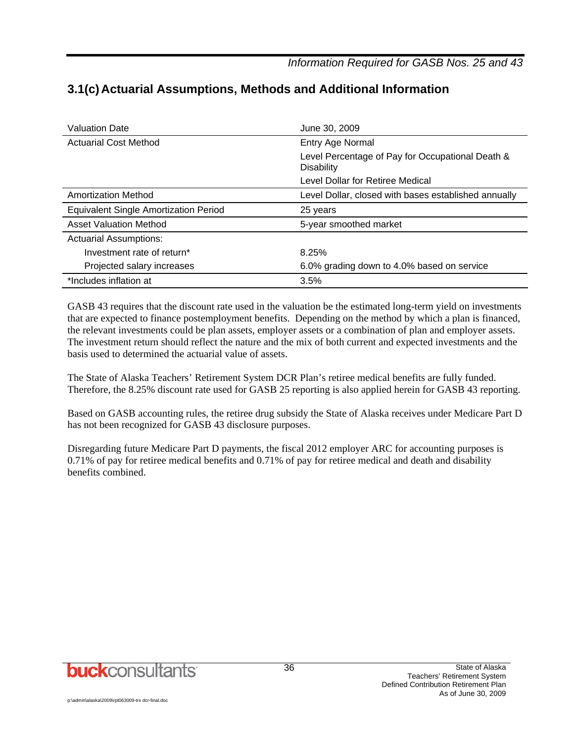*Information Required for GASB Nos. 25 and 43* 

| <b>Valuation Date</b>                        | June 30, 2009                                                         |
|----------------------------------------------|-----------------------------------------------------------------------|
| <b>Actuarial Cost Method</b>                 | Entry Age Normal                                                      |
|                                              | Level Percentage of Pay for Occupational Death &<br><b>Disability</b> |
|                                              | Level Dollar for Retiree Medical                                      |
| Amortization Method                          | Level Dollar, closed with bases established annually                  |
| <b>Equivalent Single Amortization Period</b> | 25 years                                                              |
| <b>Asset Valuation Method</b>                | 5-year smoothed market                                                |
| <b>Actuarial Assumptions:</b>                |                                                                       |
| Investment rate of return*                   | 8.25%                                                                 |
| Projected salary increases                   | 6.0% grading down to 4.0% based on service                            |
| *Includes inflation at                       | 3.5%                                                                  |

## **3.1(c) Actuarial Assumptions, Methods and Additional Information**

GASB 43 requires that the discount rate used in the valuation be the estimated long-term yield on investments that are expected to finance postemployment benefits. Depending on the method by which a plan is financed, the relevant investments could be plan assets, employer assets or a combination of plan and employer assets. The investment return should reflect the nature and the mix of both current and expected investments and the basis used to determined the actuarial value of assets.

The State of Alaska Teachers' Retirement System DCR Plan's retiree medical benefits are fully funded. Therefore, the 8.25% discount rate used for GASB 25 reporting is also applied herein for GASB 43 reporting.

Based on GASB accounting rules, the retiree drug subsidy the State of Alaska receives under Medicare Part D has not been recognized for GASB 43 disclosure purposes.

Disregarding future Medicare Part D payments, the fiscal 2012 employer ARC for accounting purposes is 0.71% of pay for retiree medical benefits and 0.71% of pay for retiree medical and death and disability benefits combined.